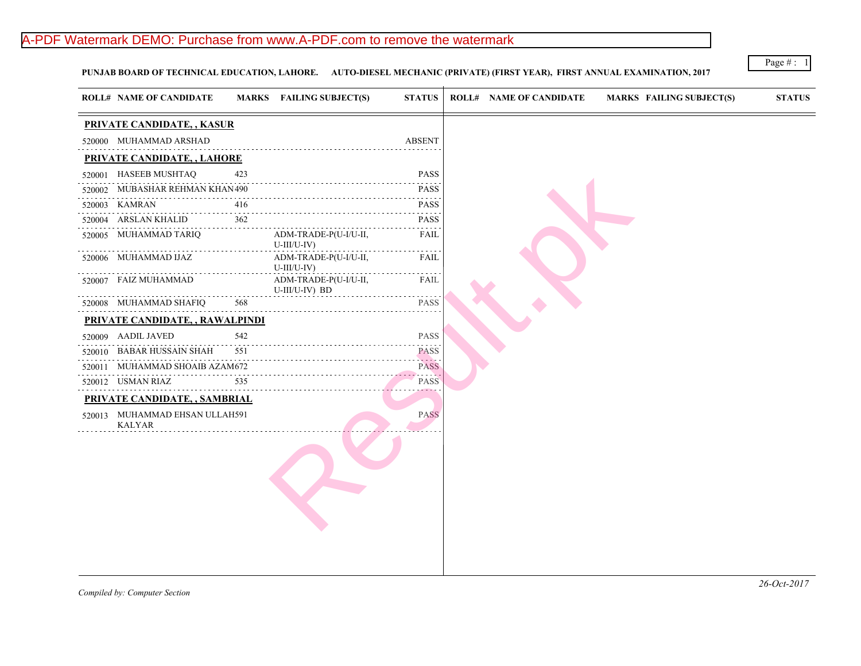# A-PDF Watermark DEMO: Purchase from www.A-PDF.com to remove the watermark

PUNJAB BOARD OF TECHNICAL EDUCATION, LAHORE. AUTO-DIESEL MECHANIC (PRIVATE) (FIRST YEAR), FIRST ANNUAL EXAMINA

|        | <b>ROLL# NAME OF CANDIDATE</b>                  |     | MARKS FAILING SUBJECT(S)                | <b>STATUS</b>                                                                                                                                                |
|--------|-------------------------------------------------|-----|-----------------------------------------|--------------------------------------------------------------------------------------------------------------------------------------------------------------|
|        | PRIVATE CANDIDATE, , KASUR                      |     |                                         |                                                                                                                                                              |
|        | 520000 MUHAMMAD ARSHAD                          |     |                                         | <b>ABSENT</b>                                                                                                                                                |
|        | PRIVATE CANDIDATE, , LAHORE                     |     |                                         |                                                                                                                                                              |
| 520001 | HASEEB MUSHTAQ                                  | 423 |                                         | <b>PASS</b>                                                                                                                                                  |
| 520002 | MUBASHAR REHMAN KHAN 490                        |     |                                         | <b>PASS</b>                                                                                                                                                  |
| 520003 | KAMRAN                                          | 416 |                                         | <b>PASS</b>                                                                                                                                                  |
| 520004 | ARSLAN KHALID                                   | 362 |                                         | <b>PASS</b>                                                                                                                                                  |
|        | 520005 MUHAMMAD TARIQ                           |     | ADM-TRADE-P(U-I/U-II,<br>$U$ -III/U-IV) | FAIL<br>$- - - - - -$                                                                                                                                        |
|        | 520006 MUHAMMAD IJAZ                            |     | ADM-TRADE-P(U-I/U-II,<br>$U$ -III/U-IV) | FAIL<br>$\frac{1}{2} \left( \frac{1}{2} \right) \left( \frac{1}{2} \right) \left( \frac{1}{2} \right) \left( \frac{1}{2} \right) \left( \frac{1}{2} \right)$ |
|        | 520007 FAIZ MUHAMMAD                            |     | ADM-TRADE-P(U-I/U-II,<br>U-III/U-IV) BD | FAIL                                                                                                                                                         |
|        | 520008 MUHAMMAD SHAFIQ                          | 568 |                                         | .<br><b>PASS</b>                                                                                                                                             |
|        | PRIVATE CANDIDATE, , RAWALPINDI                 |     |                                         |                                                                                                                                                              |
|        | 520009 AADIL JAVED                              | 542 |                                         | <b>PASS</b>                                                                                                                                                  |
| 520010 | BABAR HUSSAIN SHAH                              | 551 |                                         | <b>PASS</b>                                                                                                                                                  |
| 520011 | MUHAMMAD SHOAIB AZAM672                         |     |                                         | .<br><b>PASS</b><br><b><i><u>A</u></i> A <i>A A A A A A</i></b>                                                                                              |
|        | 520012 USMAN RIAZ                               | 535 |                                         | <b>PASS</b><br>$- - - -$                                                                                                                                     |
|        | PRIVATE CANDIDATE,, SAMBRIAL                    |     |                                         |                                                                                                                                                              |
|        | 520013 MUHAMMAD EHSAN ULLAH591<br><b>KALYAR</b> |     |                                         | <b>PASS</b>                                                                                                                                                  |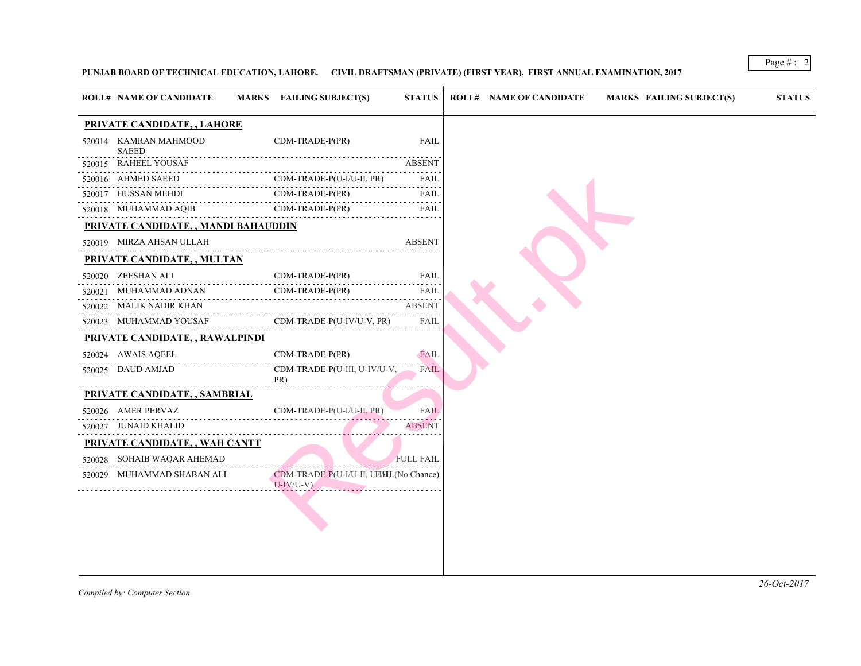### PUNJAB BOARD OF TECHNICAL EDUCATION, LAHORE. CIVIL DRAFTSMAN (PRIVATE) (FIRST YEAR), FIRST ANNUAL EXAMINATION,

| <b>ROLL# NAME OF CANDIDATE</b>              |   | <b>MARKS</b> FAILING SUBJECT(S)                         | <b>STATUS</b>    |  | <b>ROLL# NAME OF CANDIDATE</b> | <b>MARKS FAIL</b> |
|---------------------------------------------|---|---------------------------------------------------------|------------------|--|--------------------------------|-------------------|
| PRIVATE CANDIDATE, , LAHORE                 |   |                                                         |                  |  |                                |                   |
| 520014 KAMRAN MAHMOOD<br><b>SAEED</b>       |   | CDM-TRADE-P(PR)                                         | FAIL             |  |                                |                   |
| 520015 RAHEEL YOUSAF                        | . |                                                         | ABSENT           |  |                                |                   |
| 520016 AHMED SAEED                          |   | CDM-TRADE-P(U-I/U-II, PR)                               | FAIL<br>.        |  |                                |                   |
| 520017 HUSSAN MEHDI                         |   | CDM-TRADE-P(PR)                                         | FAIL             |  |                                |                   |
| 520018 MUHAMMAD AQIB                        |   | CDM-TRADE-P(PR)                                         | FAIL             |  |                                |                   |
| <u>PRIVATE CANDIDATE, , MANDI BAHAUDDIN</u> |   |                                                         |                  |  |                                |                   |
| 520019 MIRZA AHSAN ULLAH                    |   |                                                         | <b>ABSENT</b>    |  |                                |                   |
| <b>PRIVATE CANDIDATE, , MULTAN</b>          |   |                                                         |                  |  |                                |                   |
| 520020 ZEESHAN ALI                          |   | CDM-TRADE-P(PR)                                         | FAIL             |  |                                |                   |
| 520021 MUHAMMAD ADNAN                       |   | CDM-TRADE-P(PR)                                         | a conce<br>FAIL  |  |                                |                   |
| 520022 MALIK NADIR KHAN                     |   |                                                         | <b>ABSENT</b>    |  |                                |                   |
| 520023 MUHAMMAD YOUSAF                      |   | CDM-TRADE-P(U-IV/U-V, PR)                               | FAIL             |  |                                |                   |
| PRIVATE CANDIDATE, , RAWALPINDI             |   |                                                         |                  |  |                                |                   |
| 520024 AWAIS AQEEL                          |   | CDM-TRADE-P(PR)                                         | FAIL             |  |                                |                   |
| 520025 DAUD AMJAD                           |   | CDM-TRADE-P(U-III, U-IV/U-V,<br>PR)                     | <b>FAIL</b>      |  |                                |                   |
| PRIVATE CANDIDATE, , SAMBRIAL               |   |                                                         |                  |  |                                |                   |
| 520026 AMER PERVAZ                          |   | CDM-TRADE-P(U-I/U-II, PR)                               | <b>FAIL</b>      |  |                                |                   |
| 520027 JUNAID KHALID                        |   |                                                         | <b>ABSENT</b>    |  |                                |                   |
| PRIVATE CANDIDATE,, WAH CANTT               |   |                                                         |                  |  |                                |                   |
| 520028 SOHAIB WAQAR AHEMAD                  |   |                                                         | <b>FULL FAIL</b> |  |                                |                   |
| 520029 MUHAMMAD SHABAN ALI                  |   | CDM-TRADE-P(U-I/U-II, UFAILL(No Chance)<br>$U$ -IV/U-V) |                  |  |                                |                   |
|                                             |   |                                                         |                  |  |                                |                   |
|                                             |   |                                                         |                  |  |                                |                   |
|                                             |   |                                                         |                  |  |                                |                   |
|                                             |   |                                                         |                  |  |                                |                   |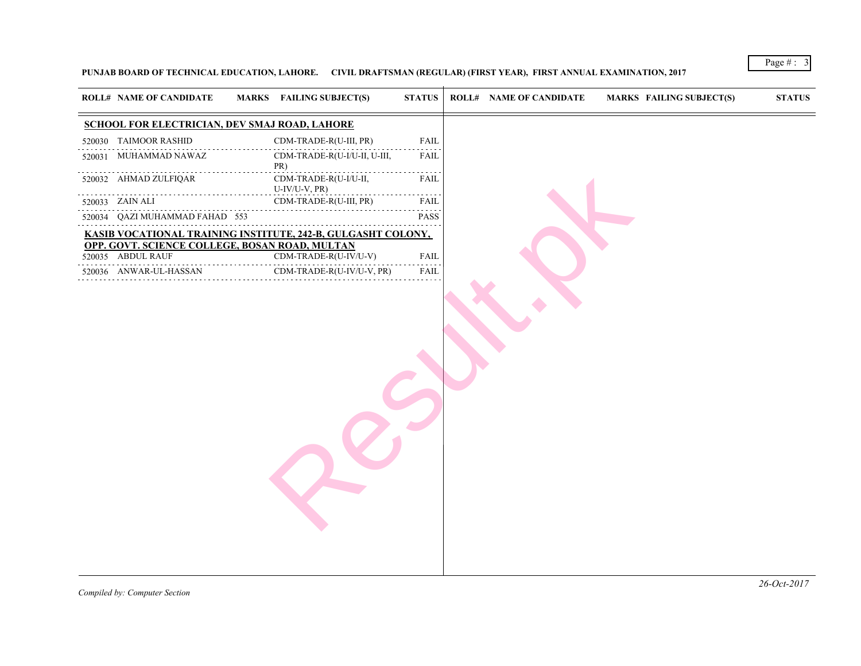### PUNJAB BOARD OF TECHNICAL EDUCATION, LAHORE. CIVIL DRAFTSMAN (REGULAR) (FIRST YEAR), FIRST ANNUAL EXAMINATION

| <b>ROLL# NAME OF CANDIDATE</b><br>MARKS FAILING SUBJECT(S)      | <b>STATUS</b> | <b>ROLL# NAME OF CANDIDATE</b> | <b>MARKS FAIL</b> |  |
|-----------------------------------------------------------------|---------------|--------------------------------|-------------------|--|
| SCHOOL FOR ELECTRICIAN, DEV SMAJ ROAD, LAHORE                   |               |                                |                   |  |
| 520030 TAIMOOR RASHID<br>CDM-TRADE-R(U-III, PR)                 | <b>FAIL</b>   |                                |                   |  |
| 520031 MUHAMMAD NAWAZ<br>CDM-TRADE-R(U-I/U-II, U-III,<br>PR)    | FAIL          |                                |                   |  |
| CDM-TRADE-R(U-I/U-II,<br>520032 AHMAD ZULFIQAR<br>U-IV/U-V, PR) | FAIL          |                                |                   |  |
| CDM-TRADE-R(U-III, PR)<br>520033 ZAIN ALI                       | FAIL          |                                |                   |  |
| 520034 QAZI MUHAMMAD FAHAD 553                                  | <b>PASS</b>   |                                |                   |  |
| KASIB VOCATIONAL TRAINING INSTITUTE, 242-B, GULGASHT COLONY,    |               |                                |                   |  |
| OPP. GOVT. SCIENCE COLLEGE, BOSAN ROAD, MULTAN                  |               |                                |                   |  |
| CDM-TRADE-R(U-IV/U-V)<br>520035 ABDUL RAUF                      | FAIL          |                                |                   |  |
| 520036 ANWAR-UL-HASSAN<br>CDM-TRADE-R(U-IV/U-V, PR)             | FAIL          |                                |                   |  |
|                                                                 |               |                                |                   |  |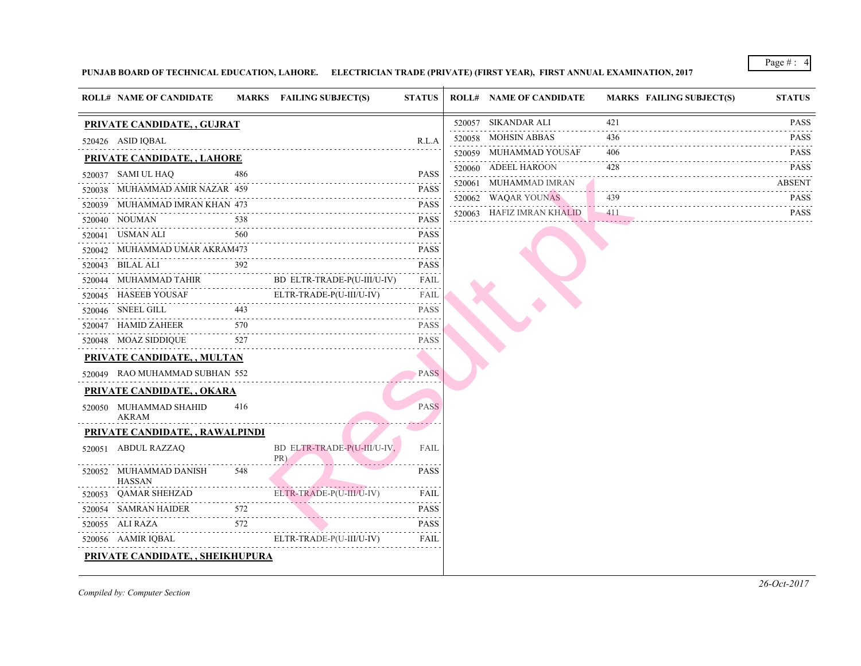### PUNJAB BOARD OF TECHNICAL EDUCATION, LAHORE. ELECTRICIAN TRADE (PRIVATE) (FIRST YEAR), FIRST ANNUAL EXAMINATIO

| <b>ROLL# NAME OF CANDIDATE</b>                  |     | MARKS FAILING SUBJECT(S)                                | <b>STATUS</b> | <b>ROLL# NAME OF CANDIDATE</b> | <b>MARKS FAIL</b> |
|-------------------------------------------------|-----|---------------------------------------------------------|---------------|--------------------------------|-------------------|
| PRIVATE CANDIDATE, , GUJRAT                     |     |                                                         |               | 520057 SIKANDAR ALI            | 421               |
| 520426 ASID IQBAL                               |     |                                                         | R.L.A         | 520058 MOHSIN ABBAS            | 436               |
| PRIVATE CANDIDATE, , LAHORE                     |     |                                                         |               | 520059 MUHAMMAD YOUSAF         | 406               |
| 520037 SAMI UL HAQ                              | 486 |                                                         | <b>PASS</b>   | 520060 ADEEL HAROON            | 428               |
| 520038 MUHAMMAD AMIR NAZAR 459                  |     |                                                         | <b>PASS</b>   | 520061 MUHAMMAD IMRAN          |                   |
| 520039 MUHAMMAD IMRAN KHAN 473                  |     |                                                         | <b>PASS</b>   | 520062 WAQAR YOUNAS            | 439               |
| 520040 NOUMAN                                   | 538 |                                                         | <b>PASS</b>   | 520063 HAFIZ IMRAN KHALID      | 411               |
| 520041 USMAN ALI                                | 560 |                                                         | <b>PASS</b>   |                                |                   |
| 520042 MUHAMMAD UMAR AKRAM473                   |     |                                                         | <b>PASS</b>   |                                |                   |
| 520043 BILAL ALI                                |     | 392<br>BD ELTR-TRADE-P(U-III/U-IV) FAIL                 |               |                                |                   |
| 520044 MUHAMMAD TAHIR B                         |     |                                                         |               |                                |                   |
|                                                 |     |                                                         |               |                                |                   |
|                                                 |     |                                                         |               |                                |                   |
| 520047 HAMID ZAHEER                             |     | $\frac{570}{100}$ PASS                                  |               |                                |                   |
| 520048 MOAZ SIDDIQUE<br>527                     |     |                                                         | <b>PASS</b>   |                                |                   |
| <b>PRIVATE CANDIDATE, , MULTAN</b>              |     |                                                         |               |                                |                   |
| 520049 RAO MUHAMMAD SUBHAN 552                  |     |                                                         | <b>PASS</b>   |                                |                   |
| PRIVATE CANDIDATE, , OKARA                      |     |                                                         |               |                                |                   |
| 520050 MUHAMMAD SHAHID<br><b>AKRAM</b>          | 416 |                                                         | <b>PASS</b>   |                                |                   |
| PRIVATE CANDIDATE, , RAWALPINDI                 |     |                                                         |               |                                |                   |
| 520051 ABDUL RAZZAQ                             |     | BD ELTR-TRADE-P(U-III/U-IV,<br>PR)                      | <b>FAIL</b>   |                                |                   |
| 520052 MUHAMMAD DANISH<br>HASSAN                | 548 |                                                         | <b>PASS</b>   |                                |                   |
| 520053 QAMAR SHEHZAD                            |     | ELTR-TRADE-P(U-III/U-IV)<br>LD ELTR-TRADE-P(U-III/U-IV) | FAIL          |                                |                   |
| HAIDER $572$<br>A $572$<br>520054 SAMRAN HAIDER |     |                                                         | <b>PASS</b>   |                                |                   |
| 520055 ALI RAZA<br>$ZA$ 572                     |     |                                                         | <b>PASS</b>   |                                |                   |
| 520056 AAMIR IQBAL                              |     | ELTR-TRADE-P(U-III/U-IV)                                | FAIL          |                                |                   |
| PRIVATE CANDIDATE, , SHEIKHUPURA                |     |                                                         |               |                                |                   |
|                                                 |     |                                                         |               |                                |                   |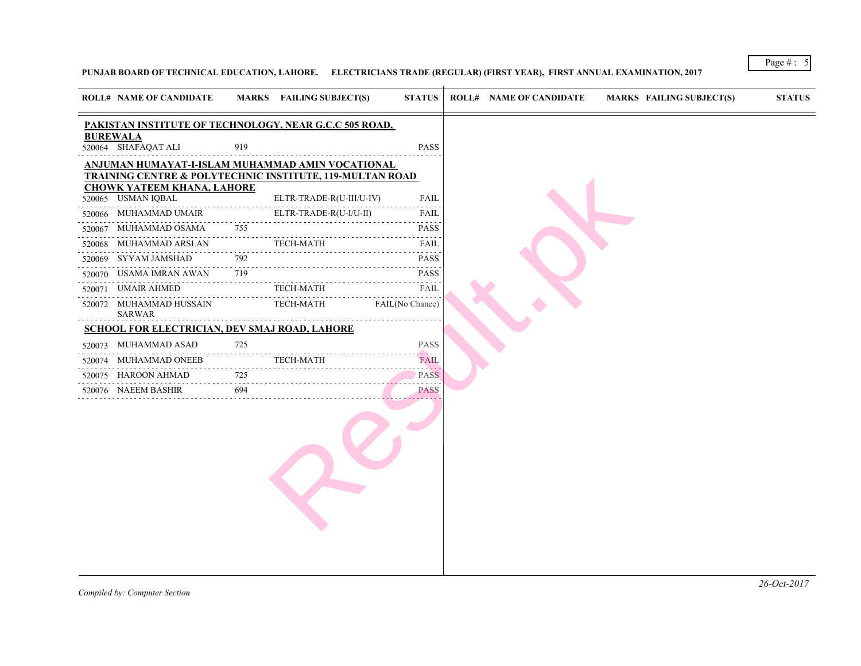### PUNJAB BOARD OF TECHNICAL EDUCATION, LAHORE. ELECTRICIANS TRADE (REGULAR) (FIRST YEAR), FIRST ANNUAL EXAMINAT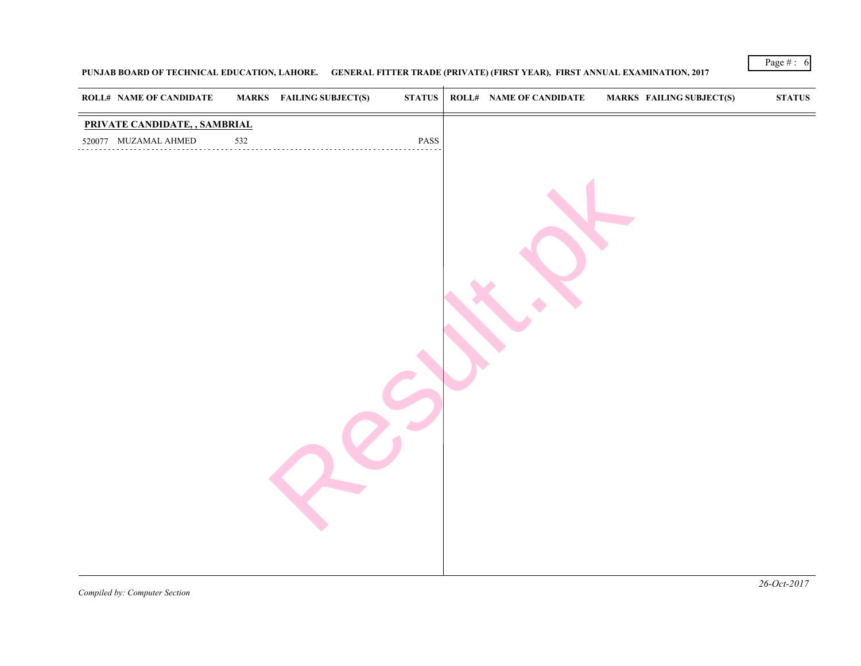### PUNJAB BOARD OF TECHNICAL EDUCATION, LAHORE. GENERAL FITTER TRADE (PRIVATE) (FIRST YEAR), FIRST ANNUAL EXAMINA

| <b>ROLL# NAME OF CANDIDATE</b> |     | MARKS FAILING SUBJECT(S) | STATUS          | <b>ROLL# NAME OF CANDIDATE</b> | <b>MARKS FAIL</b> |
|--------------------------------|-----|--------------------------|-----------------|--------------------------------|-------------------|
| PRIVATE CANDIDATE, , SAMBRIAL  |     |                          |                 |                                |                   |
| 520077 MUZAMAL AHMED           | 532 |                          | $\mathbf{PASS}$ |                                |                   |
|                                |     |                          |                 |                                |                   |
|                                |     |                          |                 |                                |                   |
|                                |     |                          |                 |                                |                   |
|                                |     |                          |                 |                                |                   |
|                                |     |                          |                 |                                |                   |
|                                |     |                          |                 |                                |                   |
|                                |     |                          |                 |                                |                   |
|                                |     |                          |                 |                                |                   |
|                                |     |                          |                 |                                |                   |
|                                |     |                          |                 |                                |                   |
|                                |     |                          |                 |                                |                   |
|                                |     |                          |                 |                                |                   |
|                                |     |                          |                 |                                |                   |
|                                |     |                          |                 |                                |                   |
|                                |     |                          |                 |                                |                   |
|                                |     |                          |                 |                                |                   |
|                                |     |                          |                 |                                |                   |
|                                |     |                          |                 |                                |                   |
|                                |     |                          |                 |                                |                   |
|                                |     |                          |                 |                                |                   |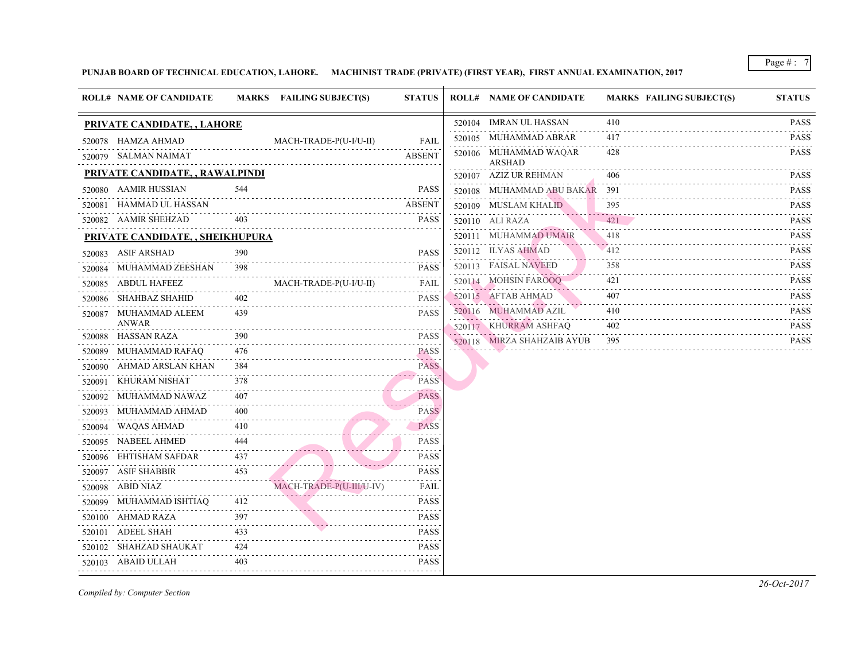### PUNJAB BOARD OF TECHNICAL EDUCATION, LAHORE. MACHINIST TRADE (PRIVATE) (FIRST YEAR), FIRST ANNUAL EXAMINATION,

|        | <b>ROLL# NAME OF CANDIDATE</b>         |     | MARKS FAILING SUBJECT(S) | <b>STATUS</b>                                                                                                                         | <b>ROLL# NAME OF CANDIDATE</b>  | <b>MARKS FAIL</b> |
|--------|----------------------------------------|-----|--------------------------|---------------------------------------------------------------------------------------------------------------------------------------|---------------------------------|-------------------|
|        | <b>PRIVATE CANDIDATE, , LAHORE</b>     |     |                          |                                                                                                                                       | 520104 IMRAN UL HASSAN          | 410               |
|        | 520078 HAMZA AHMAD                     |     | MACH-TRADE-P(U-I/U-II)   | <b>FAIL</b>                                                                                                                           | 520105 MUHAMMAD ABRAR           | 417               |
|        | 520079 SALMAN NAIMAT                   |     |                          | <b>ABSENT</b>                                                                                                                         | 520106 MUHAMMAD WAQAR<br>ARSHAD | 428               |
|        | <b>PRIVATE CANDIDATE, , RAWALPINDI</b> |     |                          |                                                                                                                                       | 520107 AZIZ UR REHMAN           | 406               |
|        | 520080 AAMIR HUSSIAN                   | 544 |                          | <b>PASS</b>                                                                                                                           | 520108 MUHAMMAD ABU BAKAR 391   |                   |
|        | 520081 HAMMAD UL HASSAN                |     |                          | <b>ABSENT</b>                                                                                                                         | 520109 MUSLAM KHALID            | 395               |
|        | 520082 AAMIR SHEHZAD                   |     |                          | <b>PASS</b>                                                                                                                           | 520110 ALI RAZA                 | 421               |
|        | PRIVATE CANDIDATE, , SHEIKHUPURA       |     |                          |                                                                                                                                       | 520111 MUHAMMAD UMAIR           | 418               |
|        | 520083 ASIF ARSHAD                     | 390 |                          | <b>PASS</b>                                                                                                                           | 520112 ILYAS AHMAD              | 412               |
|        | 520084 MUHAMMAD ZEESHAN                | 398 |                          | <b>PASS</b>                                                                                                                           | 520113 FAISAL NAVEED            | 358               |
|        | 520085 ABDUL HAFEEZ                    |     | MACH-TRADE-P(U-I/U-II)   | FAIL                                                                                                                                  | 520114 MOHSIN FAROOQ            | 421               |
|        | 520086 SHAHBAZ SHAHID                  | 402 |                          | <b>PASS</b>                                                                                                                           | 520115 AFTAB AHMAD              | 407               |
|        | 520087 MUHAMMAD ALEEM<br>ANWAR         | 439 |                          | <b>PASS</b>                                                                                                                           | 520116 MUHAMMAD AZIL            | 410               |
|        | 520088 HASSAN RAZA                     | 390 |                          | <b>PASS</b>                                                                                                                           | 520117 KHURRAM ASHFAQ           | 402               |
| 520089 | MUHAMMAD RAFAQ                         | 476 |                          | $\mathcal{L}^{\mathcal{A}}(\mathcal{A})=\mathcal{L}^{\mathcal{A}}(\mathcal{A})=\mathcal{L}^{\mathcal{A}}(\mathcal{A})$<br><b>PASS</b> | 520118 MIRZA SHAHZAIB AYUB      | 395               |
|        | 520090 AHMAD ARSLAN KHAN               | 384 |                          | بالأستانية<br><b>PASS</b>                                                                                                             |                                 |                   |
|        | 520091 KHURAM NISHAT                   | 378 |                          | Saabad Sa<br><b>PASS</b>                                                                                                              |                                 |                   |
|        | 520092 MUHAMMAD NAWAZ                  | 407 |                          | <b>PASS</b>                                                                                                                           |                                 |                   |
| 520093 | MUHAMMAD AHMAD                         | 400 |                          | <b>PASS</b>                                                                                                                           |                                 |                   |
| 520094 | WAQAS AHMAD                            | 410 |                          | . . <i>.</i><br><b>PASS</b>                                                                                                           |                                 |                   |
| 520095 | NABEEL AHMED                           |     |                          | .<br>PASS                                                                                                                             |                                 |                   |
| 520096 | EHTISHAM SAFDAR                        | 437 |                          | <b>PASS</b>                                                                                                                           |                                 |                   |
|        | 520097 ASIF SHABBIR                    | 453 |                          | <b>PASS</b>                                                                                                                           |                                 |                   |
|        | 520098 ABID NIAZ                       |     | MACH-TRADE-P(U-III/U-IV) | .<br>FAIL                                                                                                                             |                                 |                   |
|        | 520099 MUHAMMAD ISHTIAQ                | 412 |                          | <b>PASS</b>                                                                                                                           |                                 |                   |
|        | 520100 AHMAD RAZA                      | 397 |                          | <b>PASS</b>                                                                                                                           |                                 |                   |
|        | 520101 ADEEL SHAH                      | 433 |                          | PASS                                                                                                                                  |                                 |                   |
|        | 520102 SHAHZAD SHAUKAT                 | 424 |                          | <b>PASS</b>                                                                                                                           |                                 |                   |
|        | 520103 ABAID ULLAH                     | 403 |                          | PASS                                                                                                                                  |                                 |                   |
|        |                                        |     |                          |                                                                                                                                       |                                 |                   |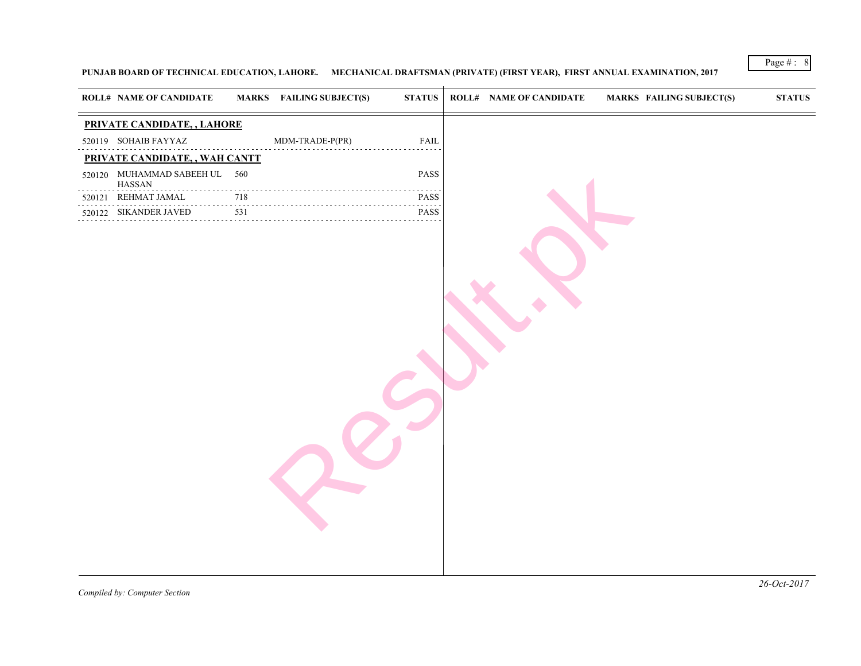### PUNJAB BOARD OF TECHNICAL EDUCATION, LAHORE. MECHANICAL DRAFTSMAN (PRIVATE) (FIRST YEAR), FIRST ANNUAL EXAMIN

|        | <b>ROLL# NAME OF CANDIDATE</b>          |                             | <b>MARKS</b> FAILING SUBJECT(S) | <b>STATUS</b>                                     | <b>ROLL# NAME OF CANDIDATE</b> | <b>MARKS FAIL</b> |  |
|--------|-----------------------------------------|-----------------------------|---------------------------------|---------------------------------------------------|--------------------------------|-------------------|--|
|        | PRIVATE CANDIDATE, , LAHORE             |                             |                                 |                                                   |                                |                   |  |
|        | 520119 SOHAIB FAYYAZ                    |                             | $MDM-TRADE-P(PR)$               | FAIL<br>.                                         |                                |                   |  |
|        | PRIVATE CANDIDATE,, WAH CANTT           |                             |                                 |                                                   |                                |                   |  |
|        | 520120 MUHAMMAD SABEEH UL 560<br>HASSAN |                             |                                 | PASS                                              |                                |                   |  |
| 520121 | REHMAT JAMAL<br>.                       | $\sim$ $\sim$ $\sim$<br>718 | .                               | $\sim$ $\sim$ $\sim$ $\sim$ $\sim$<br><b>PASS</b> |                                |                   |  |
|        | 520122 SIKANDER JAVED<br>.              | 531                         |                                 | PASS                                              |                                |                   |  |
|        |                                         |                             |                                 |                                                   |                                |                   |  |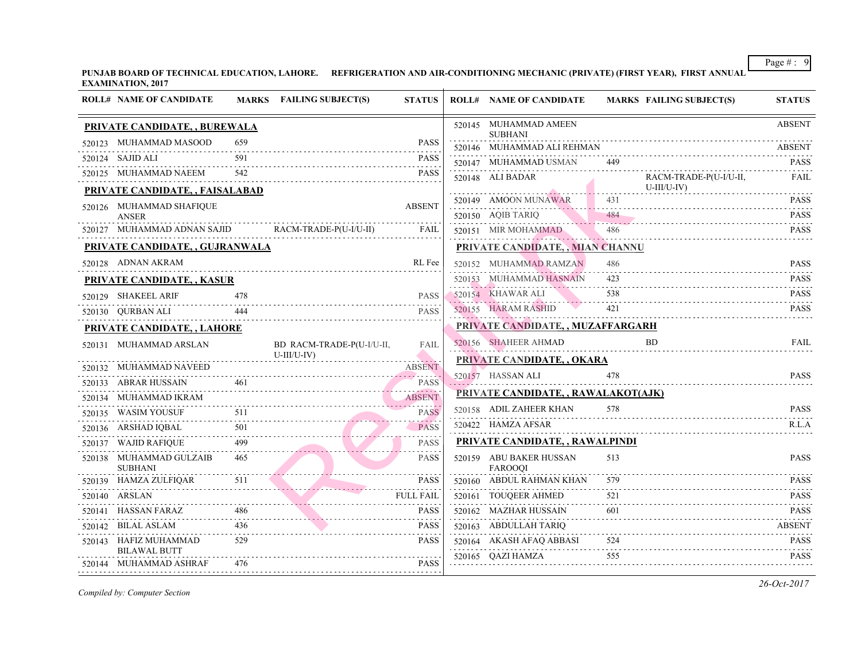PUNJAB BOARD OF TECHNICAL EDUCATION, LAHORE. REFRIGERATION AND AIR-CONDITIONING MECHANIC (PRIVATE) (FIRST YEA **EXAMINATION, 2017**

| <b>ROLL# NAME OF CANDIDATE</b>                |     | MARKS FAILING SUBJECT(S)                           | <b>STATUS</b>                  | <b>ROLL# NAME OF CANDIDATE</b>            | <b>MARKS FAIL</b> |
|-----------------------------------------------|-----|----------------------------------------------------|--------------------------------|-------------------------------------------|-------------------|
| PRIVATE CANDIDATE, , BUREWALA                 |     |                                                    |                                | 520145 MUHAMMAD AMEEN<br><b>SUBHANI</b>   |                   |
| 520123 MUHAMMAD MASOOD                        | 659 |                                                    | <b>PASS</b>                    | 520146 MUHAMMAD ALI REHMAN                |                   |
| 520124 SAJID ALI                              | 591 |                                                    | <b>PASS</b>                    | 520147 MUHAMMAD USMAN                     | 449               |
| 520125 MUHAMMAD NAEEM                         | 542 |                                                    | <b>PASS</b>                    | 520148 ALI BADAR                          | <b>RACI</b>       |
| PRIVATE CANDIDATE, , FAISALABAD               |     |                                                    |                                |                                           | $U-III/$          |
| 520126 MUHAMMAD SHAFIQUE                      |     |                                                    | <b>ABSENT</b>                  | 520149 AMOON MUNAWAR                      |                   |
| <b>ANSER</b>                                  |     | 520127 MUHAMMAD ADNAN SAJID RACM-TRADE-P(U-I/U-II) | FAIL                           | 520150 AQIB TARIQ                         | 484               |
|                                               |     |                                                    |                                | 520151 MIR MOHAMMAD 486                   |                   |
| PRIVATE CANDIDATE, , GUJRANWALA               |     |                                                    |                                | PRIVATE CANDIDATE,, MIAN CHANNU           |                   |
| 520128 ADNAN AKRAM                            |     |                                                    | RL Fee                         | 520152 MUHAMMAD RAMZAN                    | 486               |
| <b>PRIVATE CANDIDATE, , KASUR</b>             |     |                                                    |                                | 520153 MUHAMMAD HASNAIN                   | 423               |
| 520129 SHAKEEL ARIF                           |     |                                                    | <b>PASS</b>                    | 520154 KHAWAR ALI                         | 538               |
| 520130 QURBAN ALI                             | 444 |                                                    | <b>PASS</b>                    | 520155 HARAM RASHID                       | 421               |
| PRIVATE CANDIDATE, , LAHORE                   |     |                                                    |                                | PRIVATE CANDIDATE, , MUZAFFARGARH         |                   |
| 520131 MUHAMMAD ARSLAN                        |     | BD RACM-TRADE-P(U-I/U-II,<br>$U-III/U-IV)$         | <b>FAIL</b>                    | 520156 SHAHEER AHMAD                      | <b>BD</b>         |
| 520132 MUHAMMAD NAVEED                        |     |                                                    | <b>ABSENT</b>                  | PRIVATE CANDIDATE, , OKARA                |                   |
| 520133 ABRAR HUSSAIN                          |     | 0133 ABRAR HUSSAIN 461 PASS                        | $\sim$ PASS                    | 520157 HASSAN ALI                         | 478               |
| 520134 MUHAMMAD IKRAM                         |     | 520134 MUHAMMAD IKRAM ABSENT                       |                                | PRIVATE CANDIDATE,, RAWALAKOT(AJK)        |                   |
|                                               |     | 520135 WASIM YOUSUF 511                            | <b>PASS</b>                    | 520158 ADIL ZAHEER KHAN                   | 578               |
| 520136 ARSHAD IQBAL                           | 501 |                                                    | . <i>.</i><br><b>PASS</b><br>. | 520422 HAMZA AFSAR                        |                   |
| 520137 WAJID RAFIQUE                          | 499 |                                                    | <b>PASS</b>                    | PRIVATE CANDIDATE, , RAWALPINDI           |                   |
| 520138 MUHAMMAD GULZAIB<br><b>SUBHANI</b>     | 465 |                                                    | <b>PASS</b>                    | 520159 ABU BAKER HUSSAN<br><b>FAROOOI</b> | 513               |
|                                               |     | $520139$ HAMZA ZULFIQAR $511$                      | <b>PASS</b>                    | 520160 ABDUL RAHMAN KHAN                  | 579               |
| 520140 ARSLAN                                 |     |                                                    | <b>FULL FAIL</b>               | 520161 TOUQEER AHMED                      | 521               |
| 520141 HASSAN FARAZ                           |     |                                                    | <b>PASS</b>                    | 520162 MAZHAR HUSSAIN                     | 601               |
| 520142 BILAL ASLAM                            | 436 |                                                    | <b>PASS</b>                    | 520163 ABDULLAH TARIQ                     |                   |
| 520143 HAFIZ MUHAMMAD                         | 529 |                                                    | <b>PASS</b>                    | 520164 AKASH AFAQ ABBASI                  | 524               |
| <b>BILAWAL BUTT</b><br>520144 MUHAMMAD ASHRAF | 476 |                                                    | <b>PASS</b>                    | 520165 QAZI HAMZA                         | 555               |
|                                               |     |                                                    |                                |                                           |                   |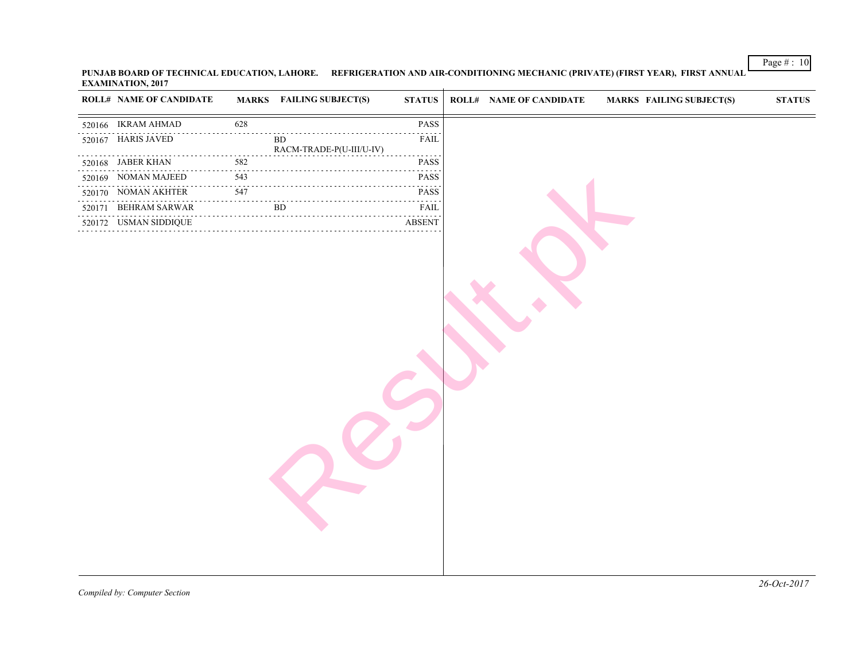| <b>ROLL# NAME OF CANDIDATE</b> |          | <b>MARKS</b> FAILING SUBJECT(S)       | <b>STATUS</b>                                            | <b>ROLL# NAME OF CANDIDATE</b> | <b>MARKS FAIL</b> |
|--------------------------------|----------|---------------------------------------|----------------------------------------------------------|--------------------------------|-------------------|
| 520166 IKRAM AHMAD             | 628      |                                       | $\mathbf{PASS}$                                          |                                |                   |
| 520167 HARIS JAVED             |          | <b>BD</b><br>RACM-TRADE-P(U-III/U-IV) | FAIL                                                     |                                |                   |
| 520168 JABER KHAN              | 582      |                                       | .<br>PASS                                                |                                |                   |
| .<br>520169 NOMAN MAJEED       | 543      |                                       | الداعات عامات<br>PASS                                    |                                |                   |
| 520170 NOMAN AKHTER            | .<br>547 |                                       | .<br>PASS                                                |                                |                   |
| 520171 BEHRAM SARWAR           |          | <b>BD</b>                             | $\sim$ $\sim$ $\sim$ $\sim$ $\sim$ $\sim$ $\sim$<br>FAIL |                                |                   |
| 520172 USMAN SIDDIQUE          |          |                                       | <b>ABSENT</b>                                            |                                |                   |
|                                |          |                                       |                                                          |                                |                   |

PUNJAB BOARD OF TECHNICAL EDUCATION, LAHORE. REFRIGERATION AND AIR-CONDITIONING MECHANIC (PRIVATE) (FIRST YEA **EXAMINATION, 2017**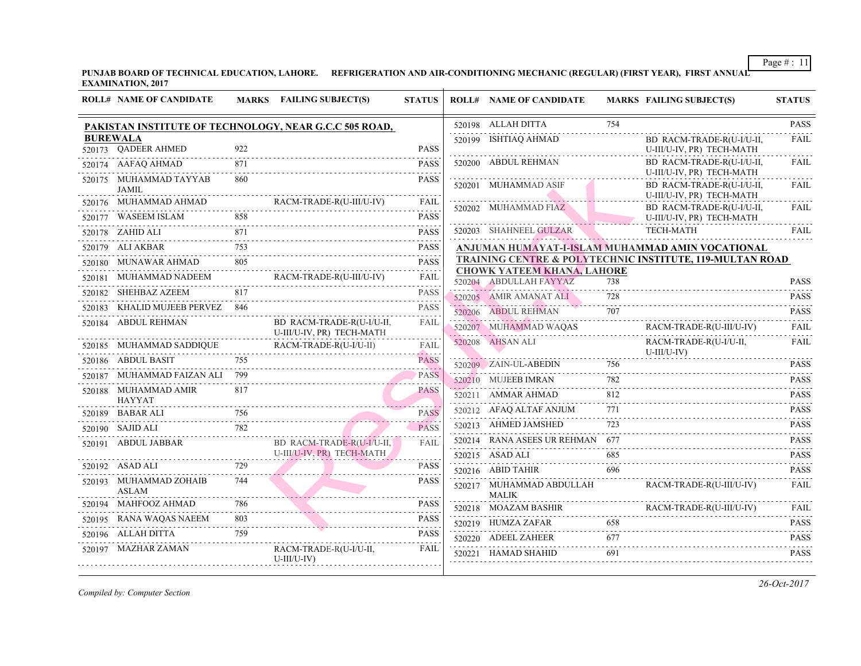PUNJAB BOARD OF TECHNICAL EDUCATION, LAHORE. REFRIGERATION AND AIR-CONDITIONING MECHANIC (REGULAR) (FIRST YEAR) **EXAMINATION, 2017**

|   | <b>ROLL# NAME OF CANDIDATE</b>         |     | MARKS FAILING SUBJECT(S)                                                        | <b>STATUS</b>                    | <b>ROLL# NAME OF CANDIDATE</b>                              | <b>MARKS FAIL</b> |                             |
|---|----------------------------------------|-----|---------------------------------------------------------------------------------|----------------------------------|-------------------------------------------------------------|-------------------|-----------------------------|
|   |                                        |     | PAKISTAN INSTITUTE OF TECHNOLOGY, NEAR G.C.C 505 ROAD,                          |                                  | 520198 ALLAH DITTA                                          | 754               |                             |
|   | <b>BUREWALA</b>                        |     |                                                                                 |                                  | 520199 ISHTIAQ AHMAD                                        |                   | BD F                        |
|   | 520173 OADEER AHMED                    | 922 |                                                                                 | <b>PASS</b>                      |                                                             |                   | $U-III/$                    |
|   | 520174 AAFAQ AHMAD                     | 871 |                                                                                 | <b>PASS</b>                      | 520200 ABDUL REHMAN                                         |                   | BD I<br>$U-III/$            |
|   | 520175 MUHAMMAD TAYYAB<br>JAMIL        | 860 |                                                                                 | <b>PASS</b>                      | 520201 MUHAMMAD ASIF                                        |                   | BD F                        |
|   | 520176 MUHAMMAD AHMAD                  |     | RACM-TRADE-R(U-III/U-IV)                                                        | FAIL                             |                                                             |                   | $U-III/$                    |
|   |                                        |     | 520177 WASEEM ISLAM 858 PASS                                                    |                                  | 520202 MUHAMMAD FIAZ                                        |                   | BD F<br>$U$ - $III$         |
|   | 520178 ZAHID ALI                       |     |                                                                                 | <b>PASS</b>                      | 520203 SHAHNEEL GULZAR                                      |                   | <b>TECH</b>                 |
| . | 520179 ALI AKBAR                       |     | . 753 PASS                                                                      | <b>PASS</b>                      | ANJUMAN HUMAYAT-I-ISLAM MUHAMMAI                            |                   |                             |
|   | 520180 MUNAWAR AHMAD 805               |     |                                                                                 | <b>PASS</b>                      | <b>TRAINING CENTRE &amp; POLYTECHNIC INSTI</b>              |                   |                             |
|   |                                        |     | 520181 MUHAMMAD NADEEM RACM-TRADE-R(U-III/U-IV)                                 | .<br>FAIL                        | <b>CHOWK YATEEM KHANA, LAHORE</b><br>520204 ABDULLAH FAYYAZ | 738               |                             |
|   | 520182 SHEHBAZ AZEEM                   | 817 |                                                                                 | <b>PASS</b>                      | 520205 AMIR AMANAT ALI                                      | 728               |                             |
|   | 520183 KHALID MUJEEB PERVEZ 846        |     |                                                                                 | .<br><b>PASS</b>                 | 520206 ABDUL REHMAN                                         | 707               |                             |
|   | 520184 ABDUL REHMAN                    |     | BD RACM-TRADE-R(U-I/U-II,<br>U-III/U-IV, PR) TECH-MATH                          | FAIL                             | 520207 MUHAMMAD WAQAS                                       |                   | <b>RACI</b>                 |
|   |                                        |     | ${\tt 520185} \quad {\tt MUHAMMAD SADDIQUE} \quad {\tt RACM-TRADE-R(U-I/U-II)}$ | FAIL                             | 520208 AHSAN ALI                                            |                   | <b>RACI</b><br>$U$ - $III/$ |
|   | 520186 ABDUL BASIT                     | 755 |                                                                                 | <b>Contractor</b><br><b>PASS</b> | 520209 ZAIN-UL-ABEDIN 756                                   |                   |                             |
|   | 520187 MUHAMMAD FAIZAN ALI 799         |     |                                                                                 | <b>PASS</b>                      | 520210 MUJEEB IMRAN                                         | 782               |                             |
|   | 520188 MUHAMMAD AMIR<br><b>HAYYAT</b>  | 817 |                                                                                 | <b>PASS</b>                      | 520211 AMMAR AHMAD                                          | 812               |                             |
|   | 520189 BABAR ALI                       | 756 |                                                                                 | <b>PASS</b>                      | 520212 AFAQ ALTAF ANJUM<br>.                                | 771               |                             |
|   | 520190 SAJID ALI                       | 782 |                                                                                 | $22 - 22 - 22$<br><b>PASS</b>    | 520213 AHMED JAMSHED                                        | 723               |                             |
|   | 520191 ABDUL JABBAR                    |     | BD RACM-TRADE-R(U-I/U-II,                                                       | FAIL                             | 520214 RANA ASEES UR REHMAN 677                             |                   |                             |
|   |                                        |     | U-III/U-IV, PR) TECH-MATH                                                       |                                  | 520215 ASAD ALI                                             | 685               |                             |
|   | 520192 ASAD ALI                        | 729 |                                                                                 | <b>PASS</b>                      | 520216 ABID TAHIR                                           |                   |                             |
|   | 520193 MUHAMMAD ZOHAIB<br><b>ASLAM</b> | 744 |                                                                                 | <b>PASS</b>                      | 520217 MUHAMMAD ABDULLAH<br>MALIK                           |                   | <b>RACI</b>                 |
|   | 520194 MAHFOOZ AHMAD                   | 786 |                                                                                 | <b>PASS</b>                      | 520218 MOAZAM BASHIR                                        |                   | <b>RACI</b>                 |
|   | 520195 RANA WAQAS NAEEM                | 803 | PASSO                                                                           | <b>PASS</b>                      | $520219$ HUMZA ZAFAR                                        | 658               |                             |
|   | 520196 ALLAH DITTA                     |     |                                                                                 | <b>PASS</b>                      | 520220 ADEEL ZAHEER                                         | 677               |                             |
|   | 520197 MAZHAR ZAMAN                    |     | RACM-TRADE-R(U-I/U-II,<br>$U-III/U-IV$                                          | FAIL                             | 520221 HAMAD SHAHID                                         | 691               |                             |
|   |                                        |     |                                                                                 |                                  |                                                             |                   |                             |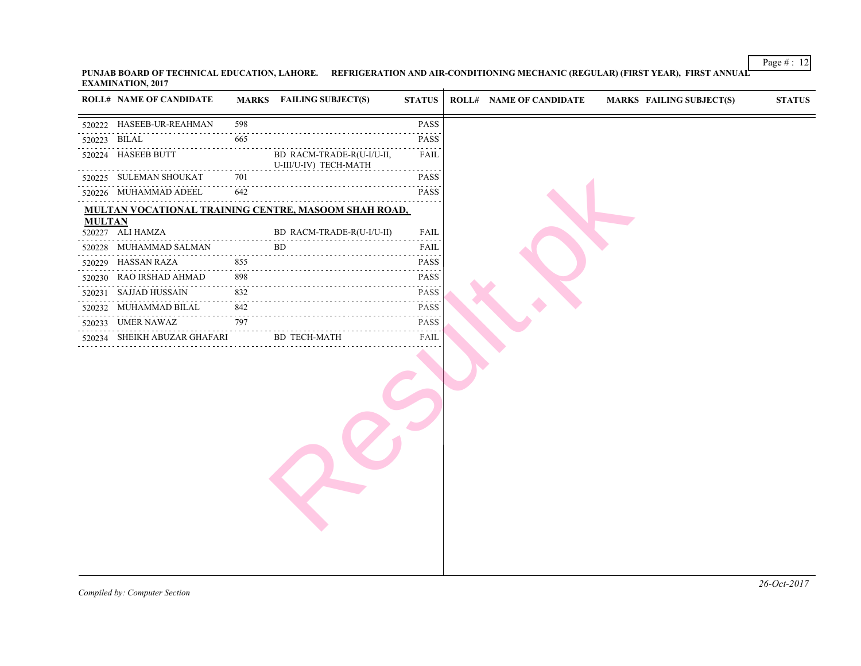|               | <b>EARITH VATION, 2017</b>                   |                                                                                                          |                                                      |                                                                                                                                                                                                                                                                                                                                                                                                                                           |
|---------------|----------------------------------------------|----------------------------------------------------------------------------------------------------------|------------------------------------------------------|-------------------------------------------------------------------------------------------------------------------------------------------------------------------------------------------------------------------------------------------------------------------------------------------------------------------------------------------------------------------------------------------------------------------------------------------|
|               | <b>ROLL# NAME OF CANDIDATE</b>               |                                                                                                          | <b>MARKS</b> FAILING SUBJECT(S)                      | <b>STATUS</b>                                                                                                                                                                                                                                                                                                                                                                                                                             |
|               | 520222 HASEEB-UR-REAHMAN                     | 598                                                                                                      |                                                      | PASS                                                                                                                                                                                                                                                                                                                                                                                                                                      |
|               | 520223 BILAL                                 | 665                                                                                                      |                                                      | <b>PASS</b>                                                                                                                                                                                                                                                                                                                                                                                                                               |
|               | .<br>520224 HASEEB BUTT                      | .                                                                                                        | BD RACM-TRADE-R(U-I/U-II,<br>U-III/U-IV) TECH-MATH   | $\sim$ $\sim$ $\sim$ $\sim$<br>FAIL<br>.                                                                                                                                                                                                                                                                                                                                                                                                  |
|               | 520225 SULEMAN SHOUKAT                       | 701<br>$\sim$ $\sim$ $\sim$ $\sim$ $\sim$                                                                |                                                      | <b>PASS</b><br>.                                                                                                                                                                                                                                                                                                                                                                                                                          |
|               | 520226 MUHAMMAD ADEEL                        | 642                                                                                                      |                                                      | <b>PASS</b><br>.                                                                                                                                                                                                                                                                                                                                                                                                                          |
|               |                                              |                                                                                                          | MULTAN VOCATIONAL TRAINING CENTRE, MASOOM SHAH ROAD, |                                                                                                                                                                                                                                                                                                                                                                                                                                           |
| <b>MULTAN</b> | 520227 ALI HAMZA                             |                                                                                                          | BD RACM-TRADE-R(U-I/U-II)                            | FAIL                                                                                                                                                                                                                                                                                                                                                                                                                                      |
|               | 520228 MUHAMMAD SALMAN                       |                                                                                                          | BD.                                                  | $\mathbf{1} \cdot \mathbf{1} \cdot \mathbf{1} \cdot \mathbf{1} \cdot \mathbf{1} \cdot \mathbf{1} \cdot \mathbf{1}$<br>FAIL                                                                                                                                                                                                                                                                                                                |
|               | 520229 HASSAN RAZA                           | 855                                                                                                      |                                                      | $\mathcal{L}^{\mathcal{A}}\left( \mathcal{L}^{\mathcal{A}}\right) \mathcal{L}^{\mathcal{A}}\left( \mathcal{L}^{\mathcal{A}}\right) \mathcal{L}^{\mathcal{A}}$<br><b>PASS</b>                                                                                                                                                                                                                                                              |
|               | 520230 RAO IRSHAD AHMAD                      | 898                                                                                                      |                                                      | .<br>PASS                                                                                                                                                                                                                                                                                                                                                                                                                                 |
| .             | 520231 SAJJAD HUSSAIN                        | $\begin{array}{cccccccccccccc} \bot & \bot & \bot & \bot & \bot & \bot & \bot & \bot \end{array}$<br>832 |                                                      | .<br>PASS                                                                                                                                                                                                                                                                                                                                                                                                                                 |
|               | 520232 MUHAMMAD BILAL                        | 842                                                                                                      |                                                      | $\label{eq:2.1} \begin{array}{cccccccccc} \mathbb{L} & \mathbb{L} & \mathbb{L} & \mathbb{L} & \mathbb{L} & \mathbb{L} & \mathbb{L} & \mathbb{L} & \mathbb{L} & \mathbb{L} & \mathbb{L} & \mathbb{L} & \mathbb{L} & \mathbb{L} & \mathbb{L} & \mathbb{L} & \mathbb{L} & \mathbb{L} & \mathbb{L} & \mathbb{L} & \mathbb{L} & \mathbb{L} & \mathbb{L} & \mathbb{L} & \mathbb{L} & \mathbb{L} & \mathbb{L} & \mathbb{L} & \mathbb{L}$<br>PASS |
|               | 520233 UMER NAWAZ                            | 797                                                                                                      |                                                      | .<br><b>PASS</b>                                                                                                                                                                                                                                                                                                                                                                                                                          |
|               | . <u>.</u> .<br>520234 SHEIKH ABUZAR GHAFARI |                                                                                                          | <b>BD TECH-MATH</b>                                  | FAIL                                                                                                                                                                                                                                                                                                                                                                                                                                      |
|               |                                              |                                                                                                          |                                                      |                                                                                                                                                                                                                                                                                                                                                                                                                                           |
|               |                                              |                                                                                                          |                                                      |                                                                                                                                                                                                                                                                                                                                                                                                                                           |
|               |                                              |                                                                                                          |                                                      |                                                                                                                                                                                                                                                                                                                                                                                                                                           |
|               |                                              |                                                                                                          |                                                      |                                                                                                                                                                                                                                                                                                                                                                                                                                           |
|               |                                              |                                                                                                          |                                                      |                                                                                                                                                                                                                                                                                                                                                                                                                                           |
|               |                                              |                                                                                                          |                                                      |                                                                                                                                                                                                                                                                                                                                                                                                                                           |
|               |                                              |                                                                                                          |                                                      |                                                                                                                                                                                                                                                                                                                                                                                                                                           |
|               |                                              |                                                                                                          |                                                      |                                                                                                                                                                                                                                                                                                                                                                                                                                           |
|               |                                              |                                                                                                          |                                                      |                                                                                                                                                                                                                                                                                                                                                                                                                                           |
|               |                                              |                                                                                                          |                                                      |                                                                                                                                                                                                                                                                                                                                                                                                                                           |
|               |                                              |                                                                                                          |                                                      |                                                                                                                                                                                                                                                                                                                                                                                                                                           |
|               |                                              |                                                                                                          |                                                      |                                                                                                                                                                                                                                                                                                                                                                                                                                           |

PUNJAB BOARD OF TECHNICAL EDUCATION, LAHORE. REFRIGERATION AND AIR-CONDITIONING MECHANIC (REGULAR) (FIRST YE*a* **EXAMINATION, 2017**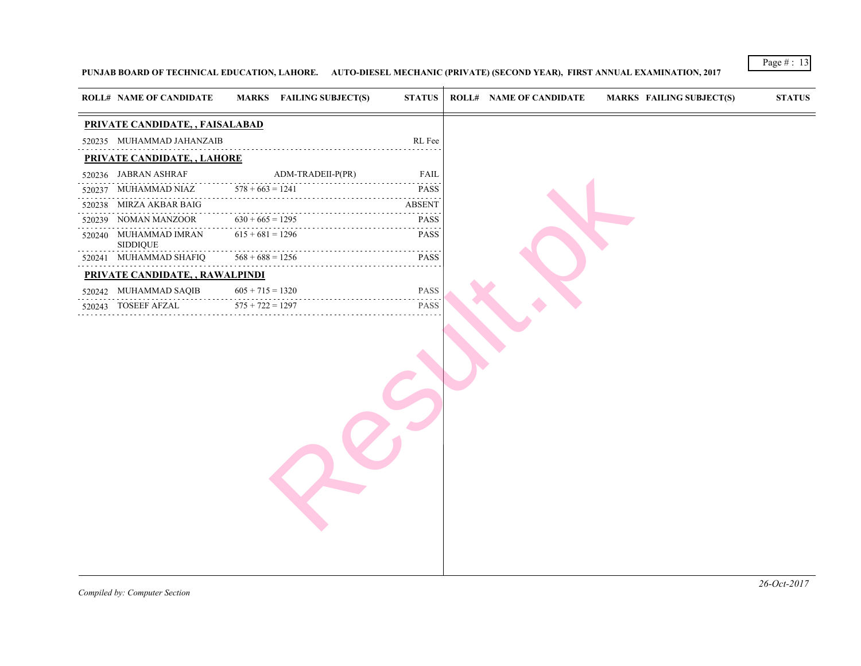### PUNJAB BOARD OF TECHNICAL EDUCATION, LAHORE. AUTO-DIESEL MECHANIC (PRIVATE) (SECOND YEAR), FIRST ANNUAL EXAMI

| PRIVATE CANDIDATE, , FAISALABAD<br>520235 MUHAMMAD JAHANZAIB<br>RL Fee<br>PRIVATE CANDIDATE, , LAHORE<br>$ADM-TRADEII-P(PR)$<br>520236 JABRAN ASHRAF<br><b>FAIL</b><br>$578 + 663 = 1241$<br><b>PASS</b><br>520237 MUHAMMAD NIAZ<br>.<br>520238 MIRZA AKBAR BAIG<br><b>ABSENT</b><br>$630 + 665 = 1295$<br>NOMAN MANZOOR<br><b>PASS</b><br>520239<br>$615 + 681 = 1296$<br><b>PASS</b><br>520240 MUHAMMAD IMRAN<br>SIDDIQUE<br>$568 + 688 = 1256$<br>520241 MUHAMMAD SHAFIQ<br><b>PASS</b><br>.<br>PRIVATE CANDIDATE,, RAWALPINDI<br>520242 MUHAMMAD SAQIB<br>$605 + 715 = 1320$<br>PASS<br>$575 + 722 = 1297$<br><b>PASS</b><br>520243 TOSEEF AFZAL | <b>ROLL# NAME OF CANDIDATE</b> | <b>MARKS</b> FAILING SUBJECT(S) | <b>STATUS</b> | <b>ROLL# NAME OF CANDIDATE</b> | <b>MARKS FAIL</b> |
|------------------------------------------------------------------------------------------------------------------------------------------------------------------------------------------------------------------------------------------------------------------------------------------------------------------------------------------------------------------------------------------------------------------------------------------------------------------------------------------------------------------------------------------------------------------------------------------------------------------------------------------------------|--------------------------------|---------------------------------|---------------|--------------------------------|-------------------|
|                                                                                                                                                                                                                                                                                                                                                                                                                                                                                                                                                                                                                                                      |                                |                                 |               |                                |                   |
|                                                                                                                                                                                                                                                                                                                                                                                                                                                                                                                                                                                                                                                      |                                |                                 |               |                                |                   |
|                                                                                                                                                                                                                                                                                                                                                                                                                                                                                                                                                                                                                                                      |                                |                                 |               |                                |                   |
|                                                                                                                                                                                                                                                                                                                                                                                                                                                                                                                                                                                                                                                      |                                |                                 |               |                                |                   |
|                                                                                                                                                                                                                                                                                                                                                                                                                                                                                                                                                                                                                                                      |                                |                                 |               |                                |                   |
|                                                                                                                                                                                                                                                                                                                                                                                                                                                                                                                                                                                                                                                      |                                |                                 |               |                                |                   |
|                                                                                                                                                                                                                                                                                                                                                                                                                                                                                                                                                                                                                                                      |                                |                                 |               |                                |                   |
|                                                                                                                                                                                                                                                                                                                                                                                                                                                                                                                                                                                                                                                      |                                |                                 |               |                                |                   |
|                                                                                                                                                                                                                                                                                                                                                                                                                                                                                                                                                                                                                                                      |                                |                                 |               |                                |                   |
|                                                                                                                                                                                                                                                                                                                                                                                                                                                                                                                                                                                                                                                      |                                |                                 |               |                                |                   |
|                                                                                                                                                                                                                                                                                                                                                                                                                                                                                                                                                                                                                                                      |                                |                                 |               |                                |                   |
|                                                                                                                                                                                                                                                                                                                                                                                                                                                                                                                                                                                                                                                      |                                |                                 |               |                                |                   |
|                                                                                                                                                                                                                                                                                                                                                                                                                                                                                                                                                                                                                                                      |                                |                                 |               |                                |                   |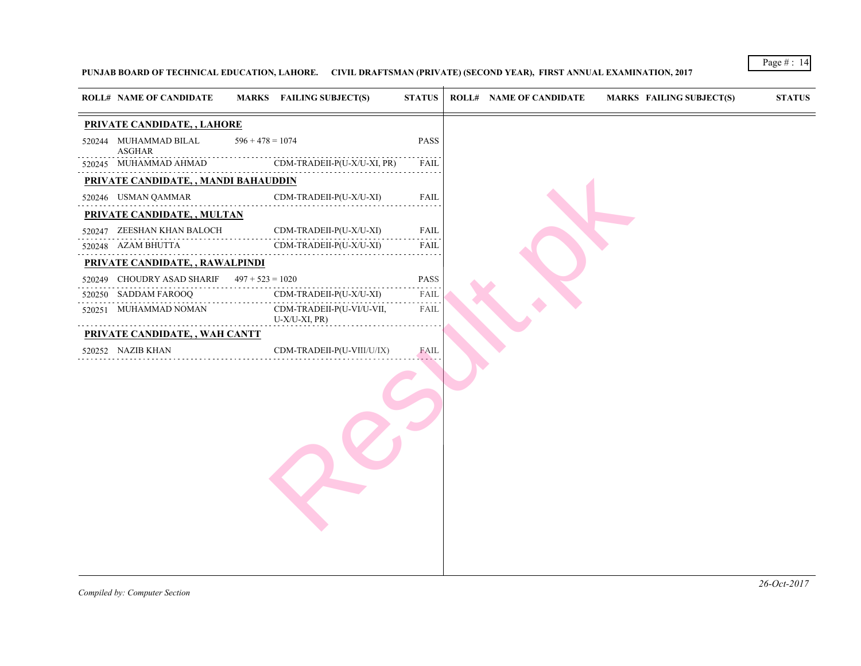### PUNJAB BOARD OF TECHNICAL EDUCATION, LAHORE. CIVIL DRAFTSMAN (PRIVATE) (SECOND YEAR), FIRST ANNUAL EXAMINATIO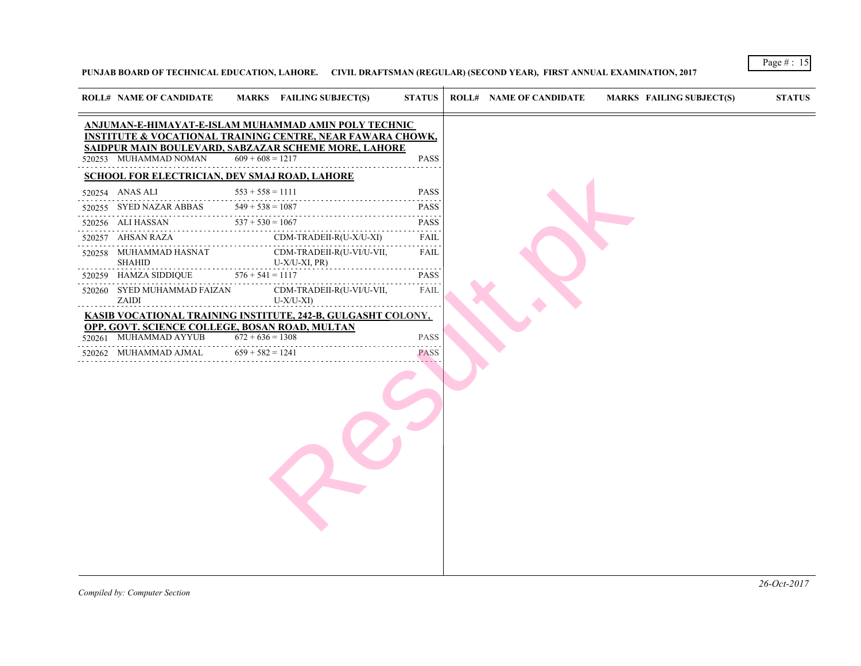PUNJAB BOARD OF TECHNICAL EDUCATION, LAHORE. CIVIL DRAFTSMAN (REGULAR) (SECOND YEAR), FIRST ANNUAL EXAMINATION

 $\rightarrow$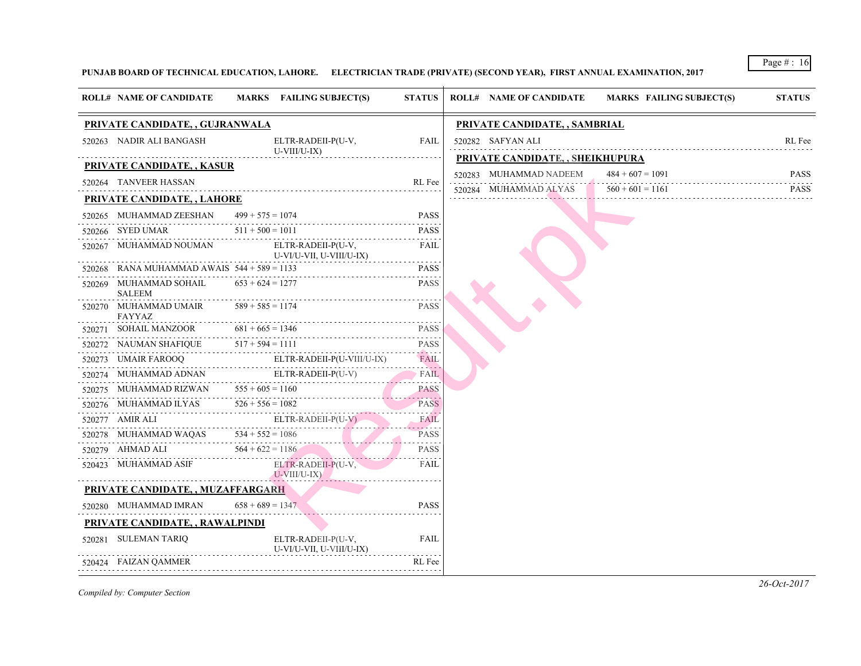### PUNJAB BOARD OF TECHNICAL EDUCATION, LAHORE. ELECTRICIAN TRADE (PRIVATE) (SECOND YEAR), FIRST ANNUAL EXAMINAT

| <b>ROLL# NAME OF CANDIDATE</b>                             | MARKS FAILING SUBJECT(S)                                                                                                                                                            | <b>STATUS</b>                 | <b>ROLL# NAME OF CANDIDATE</b>                  | <b>MARKS FAIL</b>                      |
|------------------------------------------------------------|-------------------------------------------------------------------------------------------------------------------------------------------------------------------------------------|-------------------------------|-------------------------------------------------|----------------------------------------|
| PRIVATE CANDIDATE, , GUJRANWALA                            |                                                                                                                                                                                     | PRIVATE CANDIDATE, , SAMBRIAL |                                                 |                                        |
| 520263 NADIR ALI BANGASH                                   | ELTR-RADEII-P(U-V,<br>U-VIII/U-IX)                                                                                                                                                  | FAIL                          | 520282 SAFYAN ALI                               |                                        |
| PRIVATE CANDIDATE, , KASUR                                 |                                                                                                                                                                                     |                               | PRIVATE CANDIDATE, , SHEIKHUPURA                |                                        |
| 520264 TANVEER HASSAN                                      |                                                                                                                                                                                     | RL Fee                        | 520283 MUHAMMAD NADEEM<br>520284 MUHAMMAD ALYAS | $484 + 607 = 109$<br>$560 + 601 = 116$ |
| <b>PRIVATE CANDIDATE, , LAHORE</b>                         |                                                                                                                                                                                     |                               |                                                 |                                        |
| 520265 MUHAMMAD ZEESHAN                                    | $499 + 575 = 1074$                                                                                                                                                                  | <b>PASS</b>                   |                                                 |                                        |
| 520266 SYED UMAR                                           | $511 + 500 = 1011$                                                                                                                                                                  | <b>PASS</b>                   |                                                 |                                        |
|                                                            | 520267 MUHAMMAD NOUMAN ELTR-RADEII-P(U-V, U-VII/U-VII. U-VIII/U-IX)<br>U-VI/U-VII, U-VIII/U-IX)                                                                                     | FAIL                          |                                                 |                                        |
| $520268$ RANA MUHAMMAD AWAIS $544 + 589 = 1133$            |                                                                                                                                                                                     | <b>PASS</b>                   |                                                 |                                        |
| 520269 MUHAMMAD SOHAIL $653 + 624 = 1277$<br><b>SALEEM</b> |                                                                                                                                                                                     | <b>PASS</b>                   |                                                 |                                        |
| 520270 MUHAMMAD UMAIR $589 + 585 = 1174$<br>FAYYAZ         |                                                                                                                                                                                     | <b>PASS</b>                   |                                                 |                                        |
| 520271 SOHAIL MANZOOR 681 + 665 = 1346                     | 6 PASS                                                                                                                                                                              |                               |                                                 |                                        |
|                                                            | 520272 NAUMAN SHAFIQUE $517 + 594 = 1111$                                                                                                                                           | <b>PASS</b>                   |                                                 |                                        |
|                                                            | $\begin{minipage}{0.9\linewidth} 520273 & \text{UMAIR FAROOQ} & \text{ELTR-RADEII-P(U-VIII/U-IX)} \\ \end{minipage}$                                                                | FAIL<br>.                     |                                                 |                                        |
|                                                            |                                                                                                                                                                                     | $\overline{\phantom{a}}$ FAIL |                                                 |                                        |
|                                                            | $\begin{tabular}{l c c c c c} \hline $520274$ & MUHAMMAD ADNAN & ELTR-RADEll-P(U-V) & FAIL \\ \hline $520275$ & MUHAMMAD RIZWAN & $555+605=1160 & & & PASS \\ \hline \end{tabular}$ |                               |                                                 |                                        |
|                                                            | 520276 MUHAMMAD ILYAS $526 + 556 = 1082$                                                                                                                                            | <b>PASS</b>                   |                                                 |                                        |
|                                                            | 520277 AMIR ALI<br>520278 MUHAMMAD WAQAS 534 + 552 = 1086<br>520279 AHMAD ALI<br>564 + 622 = 1186                                                                                   | FAIL<br>and a state of        |                                                 |                                        |
|                                                            |                                                                                                                                                                                     | <b>PASS</b>                   |                                                 |                                        |
|                                                            |                                                                                                                                                                                     | PASS                          |                                                 |                                        |
|                                                            | 520423 MUHAMMAD ASIF ELTR-RADEII-P(U-V, U-VIII/U-IX)<br>$U-VIII/U-IX$ )                                                                                                             | FAIL                          |                                                 |                                        |
| PRIVATE CANDIDATE, , MUZAFFARGARH                          |                                                                                                                                                                                     |                               |                                                 |                                        |
| 520280 MUHAMMAD IMRAN                                      | $658 + 689 = 1347$                                                                                                                                                                  | <b>PASS</b>                   |                                                 |                                        |
| PRIVATE CANDIDATE, , RAWALPINDI                            |                                                                                                                                                                                     |                               |                                                 |                                        |
| 520281 SULEMAN TARIQ                                       | ELTR-RADEII-P(U-V,<br>U-VI/U-VII, U-VIII/U-IX)                                                                                                                                      | FAIL                          |                                                 |                                        |
| 520424 FAIZAN QAMMER                                       |                                                                                                                                                                                     | RL Fee                        |                                                 |                                        |
|                                                            |                                                                                                                                                                                     |                               |                                                 |                                        |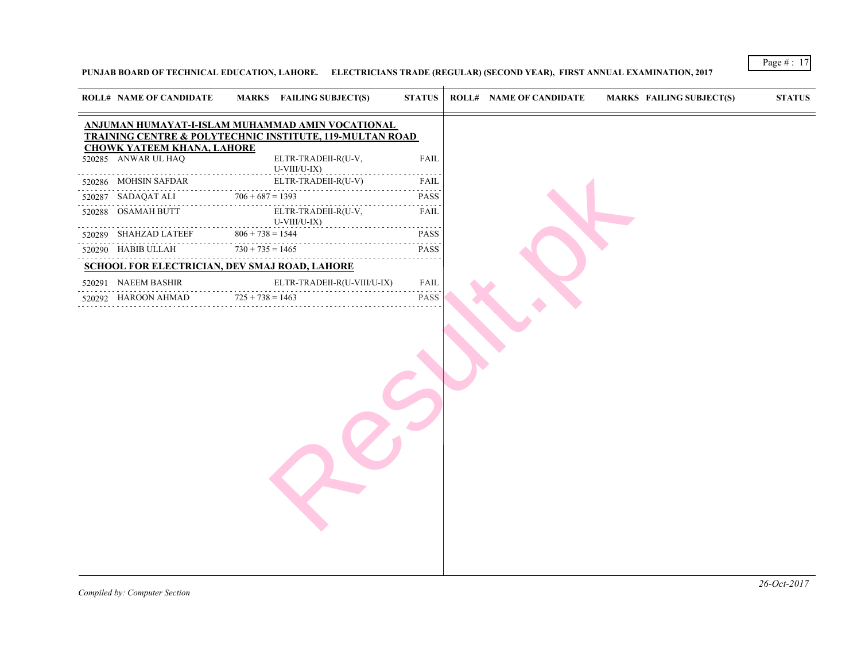### PUNJAB BOARD OF TECHNICAL EDUCATION, LAHORE. ELECTRICIANS TRADE (REGULAR) (SECOND YEAR), FIRST ANNUAL EXAMINATION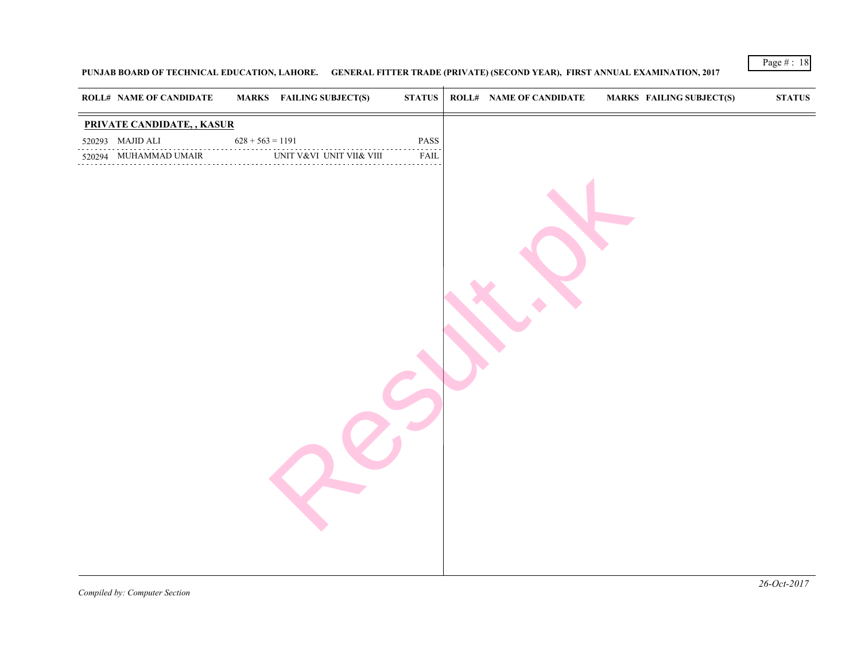### PUNJAB BOARD OF TECHNICAL EDUCATION, LAHORE. GENERAL FITTER TRADE (PRIVATE) (SECOND YEAR), FIRST ANNUAL EXAMI

| <b>ROLL# NAME OF CANDIDATE</b> |                    | <b>MARKS</b> FAILING SUBJECT(S) | STATUS | <b>ROLL# NAME OF CANDIDATE</b> | <b>MARKS FAIL</b> |
|--------------------------------|--------------------|---------------------------------|--------|--------------------------------|-------------------|
| PRIVATE CANDIDATE, , KASUR     |                    |                                 |        |                                |                   |
| 520293 MAJID ALI               | $628 + 563 = 1191$ |                                 | PASS   |                                |                   |
| 520294 MUHAMMAD UMAIR          |                    | UNIT V&VI UNIT VII& VIII        | FAIL   |                                |                   |
|                                |                    |                                 |        |                                |                   |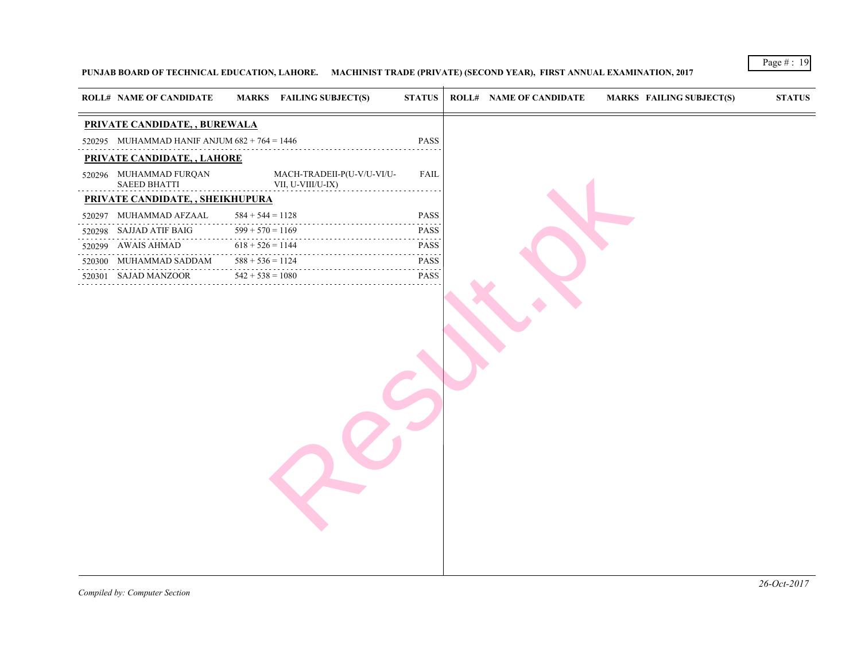### PUNJAB BOARD OF TECHNICAL EDUCATION, LAHORE. MACHINIST TRADE (PRIVATE) (SECOND YEAR), FIRST ANNUAL EXAMINATIO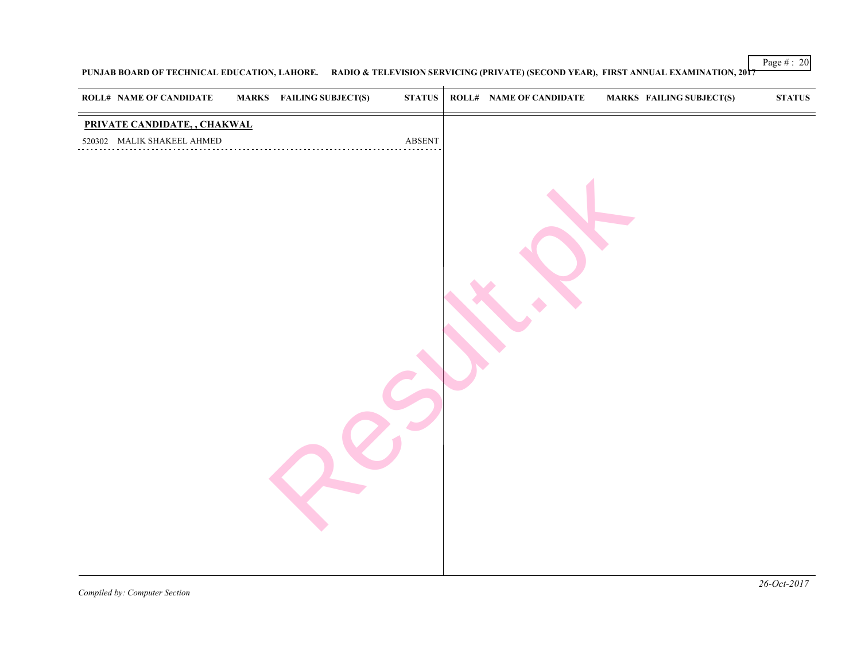## PUNJAB BOARD OF TECHNICAL EDUCATION, LAHORE. RADIO & TELEVISION SERVICING (PRIVATE) (SECOND YEAR), FIRST ANNUAL

| <b>ROLL# NAME OF CANDIDATE</b>                                                                                                                                                                                                                                                                                                                                                                                                                                                                                | <b>MARKS</b> FAILING SUBJECT(S) | $\boldsymbol{\text{STATUS}}$ | <b>ROLL# NAME OF CANDIDATE</b> | <b>MARKS FAIL</b> |  |
|---------------------------------------------------------------------------------------------------------------------------------------------------------------------------------------------------------------------------------------------------------------------------------------------------------------------------------------------------------------------------------------------------------------------------------------------------------------------------------------------------------------|---------------------------------|------------------------------|--------------------------------|-------------------|--|
| PRIVATE CANDIDATE, , CHAKWAL<br>$\begin{tabular}{ll} $520302$ & MALIK SHAKEEL AHMED \\ \hline \end{tabular} \begin{tabular}{ll} \multicolumn{2}{l}{{\bf ABSEN}}\\ \multicolumn{2}{l}{\textbf{ABSEN}}\\ \multicolumn{2}{l}{\textbf{ABSEN}}\\ \multicolumn{2}{l}{\textbf{ABSEN}}\\ \multicolumn{2}{l}{\textbf{ABSEN}}\\ \multicolumn{2}{l}{\textbf{ABSEN}}\\ \multicolumn{2}{l}{\textbf{ABSEN}}\\ \multicolumn{2}{l}{\textbf{ABSEN}}\\ \multicolumn{2}{l}{\textbf{ABSEN}}\\ \multicolumn{2}{l}{\textbf{ABSEN}}$ |                                 | $\operatorname{ABSENT}$      |                                |                   |  |
|                                                                                                                                                                                                                                                                                                                                                                                                                                                                                                               |                                 |                              |                                |                   |  |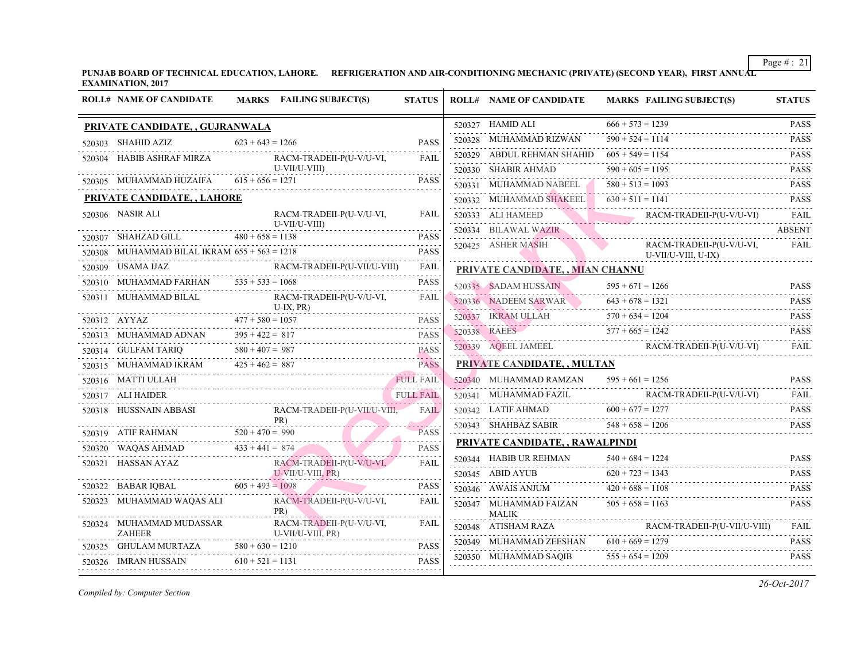PUNJAB BOARD OF TECHNICAL EDUCATION, LAHORE. REFRIGERATION AND AIR-CONDITIONING MECHANIC (PRIVATE) (SECOND Y **EXAMINATION, 2017**

| <b>ROLL# NAME OF CANDIDATE</b>                 | MARKS FAILING SUBJECT(S)                                                                                                                                                                                                                                                                                                                                                                                                                                                    | <b>STATUS</b> | <b>ROLL# NAME OF CANDIDATE</b>                                     | <b>MARKS FAIL</b> |
|------------------------------------------------|-----------------------------------------------------------------------------------------------------------------------------------------------------------------------------------------------------------------------------------------------------------------------------------------------------------------------------------------------------------------------------------------------------------------------------------------------------------------------------|---------------|--------------------------------------------------------------------|-------------------|
| PRIVATE CANDIDATE, , GUJRANWALA                |                                                                                                                                                                                                                                                                                                                                                                                                                                                                             |               | 520327 HAMID ALI                                                   | $666 + 573 = 123$ |
| 520303 SHAHID AZIZ                             | $623 + 643 = 1266$                                                                                                                                                                                                                                                                                                                                                                                                                                                          | <b>PASS</b>   | 520328 MUHAMMAD RIZWAN $590 + 524 = 111$                           |                   |
|                                                | 520304 HABIB ASHRAF MIRZA RACM-TRADEII-P(U-V/U-VI, U-VII/U-VIII)                                                                                                                                                                                                                                                                                                                                                                                                            | FAIL          | 520329 ABDUL REHMAN SHAHID $605 + 549 = 115$                       |                   |
|                                                | $U-VII/U-VIII)$                                                                                                                                                                                                                                                                                                                                                                                                                                                             |               | 520330 SHABIR AHMAD $590 + 605 = 119$ :                            |                   |
| 520305 MUHAMMAD HUZAIFA $615 + 656 = 1271$     | HAMMAD HUZAIFA 615 + 656 = 1271 PASS                                                                                                                                                                                                                                                                                                                                                                                                                                        | <b>PASS</b>   | 520331 MUHAMMAD NABEEL 580 + 513 = 109                             |                   |
| PRIVATE CANDIDATE, , LAHORE                    |                                                                                                                                                                                                                                                                                                                                                                                                                                                                             |               | 520332 MUHAMMAD SHAKEEL $630 + 511 = 114$                          |                   |
| 520306 NASIR ALI                               | RACM-TRADEII-P(U-V/U-VI,<br>$U-VII/U-VIII)$                                                                                                                                                                                                                                                                                                                                                                                                                                 | FAIL          | 520333 ALI HAMEED RA                                               | <b>RACI</b>       |
| 520307 SHAHZAD GILL $480 + 658 = 1138$         | $480 + 658 = 1138$ PASS                                                                                                                                                                                                                                                                                                                                                                                                                                                     | <b>PASS</b>   | 520334 BILAWAL WAZIR                                               |                   |
| 520308 MUHAMMAD BILAL IKRAM $655 + 563 = 1218$ |                                                                                                                                                                                                                                                                                                                                                                                                                                                                             | <b>PASS</b>   | 520425 ASHER MASIH                                                 | RACI<br>U-VII     |
| 520309 USAMA IJAZ                              |                                                                                                                                                                                                                                                                                                                                                                                                                                                                             |               | PRIVATE CANDIDATE, , MIAN CHANNU                                   |                   |
| 520310 MUHAMMAD FARHAN $535 + 533 = 1068$      | 520310 MUHAMMAD FARHAN $535 + 533 = 1068$ PASS                                                                                                                                                                                                                                                                                                                                                                                                                              | <b>PASS</b>   | 520335 SADAM HUSSAIN 595 + 671 = 126                               |                   |
|                                                | 520311 MUHAMMAD BILAL RACM-TRADEII-P(U-V/U-VI, U-IX, PR)                                                                                                                                                                                                                                                                                                                                                                                                                    | FAIL          | 520336 NADEEM SARWAR 643 + 678 = 132                               |                   |
|                                                |                                                                                                                                                                                                                                                                                                                                                                                                                                                                             |               | 520337 IKRAM ULLAH 570 + 634 = 120<br>520338 RAEES 577 + 665 = 124 |                   |
|                                                | $\begin{tabular}{llllll} \hline $520312$ & AYYAZ & $477+580=1057$ & \textbf{PASS} \\ \hline $520313$ & MUHAMMAD ADNAN & $395+422=817$ & \textbf{PASS} \\ \hline \end{tabular}$                                                                                                                                                                                                                                                                                              |               |                                                                    |                   |
|                                                | 520314 GULFAM TARIQ 580 + 407 = 987 PASS                                                                                                                                                                                                                                                                                                                                                                                                                                    |               | 520339 AQEEL JAMEEL RAC                                            | <b>RACI</b>       |
|                                                | 520315 MUHAMMAD IKRAM $425 + 462 = 887$ PASS                                                                                                                                                                                                                                                                                                                                                                                                                                |               | PRIVATE CANDIDATE,, MULTAN                                         |                   |
| 520316 MATTI ULLAH                             | TULL FAIL                                                                                                                                                                                                                                                                                                                                                                                                                                                                   |               | 520340 MUHAMMAD RAMZAN                                             | $595 + 661 = 125$ |
| 520317 ALI HAIDER                              | ER FULL FAIL                                                                                                                                                                                                                                                                                                                                                                                                                                                                |               | 520341 MUHAMMAD FAZIL R.                                           | <b>RACI</b>       |
|                                                |                                                                                                                                                                                                                                                                                                                                                                                                                                                                             |               | 520342 LATIF AHMAD $600 + 677 = 127$                               |                   |
|                                                | $\begin{tabular}{lllllllll} \hline 520318 & HUSSNAIN ABBASI & \multicolumn{2}{ l }{} \multicolumn{2}{ l }{} \multicolumn{2}{ l }{} & \multicolumn{2}{ l }{} \multicolumn{2}{ l }{} & \multicolumn{2}{ l }{} \multicolumn{2}{ l }{} & \multicolumn{2}{ l }{} \multicolumn{2}{ l }{} & \multicolumn{2}{ l }{} & \multicolumn{2}{ l }{} \multicolumn{2}{ l }{} & \multicolumn{2}{ l }{} \multicolumn{2}{ l }{} & \multicolumn{2}{ l }{} \$                                     |               | 520343 SHAHBAZ SABIR $548 + 658 = 120$                             |                   |
|                                                |                                                                                                                                                                                                                                                                                                                                                                                                                                                                             | <b>PASS</b>   | PRIVATE CANDIDATE, , RAWALPINDI                                    |                   |
|                                                | 520320 WAQAS AHMAD $433 + 441 = 874$ PASS                                                                                                                                                                                                                                                                                                                                                                                                                                   |               | 520344 HABIB UR REHMAN $540 + 684 = 122$                           |                   |
|                                                |                                                                                                                                                                                                                                                                                                                                                                                                                                                                             |               | 520345 ABID AYUB $620 + 723 = 134$                                 |                   |
|                                                | $\begin{tabular}{c c c} \hline 520321 & HASSAN AYAZ & RACM-TRADEll-P(U-V/U-VI) & FAIL \\ \hline \end{tabular} \begin{tabular}{c} \hline \multicolumn{3}{c} \multicolumn{3}{c} \multicolumn{3}{c} \multicolumn{3}{c} \multicolumn{3}{c} \multicolumn{3}{c} \multicolumn{3}{c} \multicolumn{3}{c} \multicolumn{3}{c} \multicolumn{3}{c} \multicolumn{3}{c} \multicolumn{3}{c} \multicolumn{3}{c} \multicolumn{3}{c} \multicolumn{3}{c} \multicolumn{3}{c} \multicolumn{3}{c}$ |               | 520346 AWAIS ANJUM $420 + 688 = 110$                               |                   |
|                                                | 520323 MUHAMMAD WAQAS ALI RACM-TRADEII-P(U-V/U-VI, PR)<br>PR)                                                                                                                                                                                                                                                                                                                                                                                                               | FAIL          | 520347 MUHAMMAD FAIZAN $505 + 658 = 116$<br>MALIK                  |                   |
| <b>ZAHEER</b>                                  | 520324 MUHAMMAD MUDASSAR RACM-TRADEII-P(U-V/U-VI,<br>$U-VII/U-VIII, PR$                                                                                                                                                                                                                                                                                                                                                                                                     | FAIL          | 520348 ATISHAM RAZA                                                | RACI              |
|                                                | 520325 GHULAM MURTAZA $580 + 630 = 1210$ PASS                                                                                                                                                                                                                                                                                                                                                                                                                               |               | 520349 MUHAMMAD ZEESHAN $610 + 669 = 127$                          |                   |
| 520326 IMRAN HUSSAIN $610 + 521 = 1131$        |                                                                                                                                                                                                                                                                                                                                                                                                                                                                             | <b>PASS</b>   | 520350 MUHAMMAD SAQIB $555 + 654 = 120$                            |                   |
|                                                |                                                                                                                                                                                                                                                                                                                                                                                                                                                                             |               |                                                                    |                   |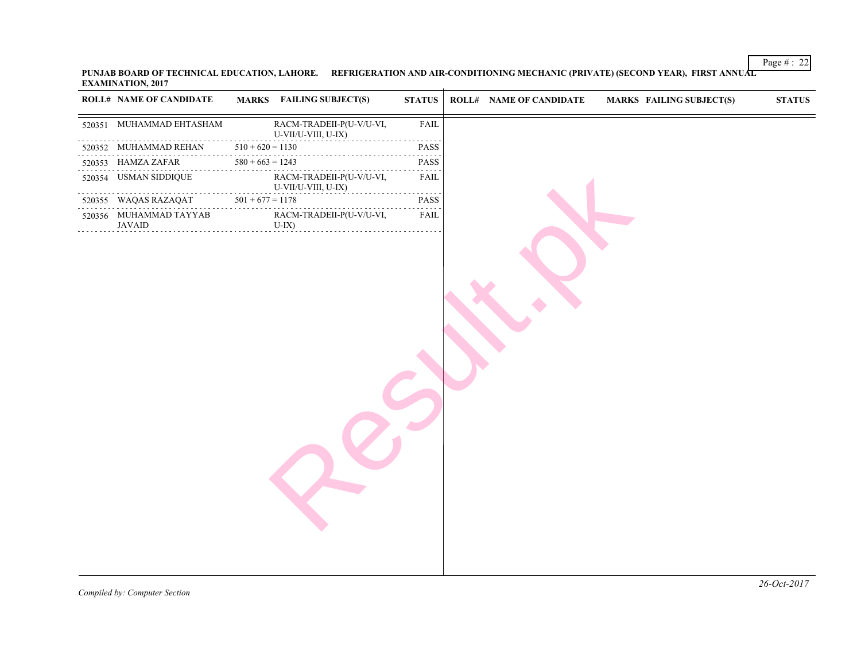PUNJAB BOARD OF TECHNICAL EDUCATION, LAHORE. REFRIGERATION AND AIR-CONDITIONING MECHANIC (PRIVATE) (SECOND Y **EXAMINATION, 2017**  $\overline{1}$ 

| <b>ROLL# NAME OF CANDIDATE</b>                      |                    | <b>MARKS</b> FAILING SUBJECT(S)                 | <b>STATUS</b>                | <b>ROLL# NAME OF CANDIDATE</b> | <b>MARKS FAIL</b> |
|-----------------------------------------------------|--------------------|-------------------------------------------------|------------------------------|--------------------------------|-------------------|
| 520351 MUHAMMAD EHTASHAM                            |                    | RACM-TRADEII-P(U-V/U-VI,<br>U-VII/U-VIII, U-IX) | FAIL                         |                                |                   |
| 520352 MUHAMMAD REHAN                               | $510 + 620 = 1130$ | .                                               | $- - - - - -$<br><b>PASS</b> |                                |                   |
| 520353 HAMZA ZAFAR                                  | $580 + 663 = 1243$ |                                                 | الداعات عامات<br>PASS        |                                |                   |
| 520354 USMAN SIDDIQUE                               |                    | RACM-TRADEII-P(U-V/U-VI,<br>U-VII/U-VIII, U-IX) | .<br>FAIL                    |                                |                   |
| 520355 WAQAS RAZAQAT                                | $501 + 677 = 1178$ |                                                 | ------<br>PASS<br>.          |                                |                   |
| 520356 MUHAMMAD TAYYAB<br>$U-IX$ )<br><b>JAVAID</b> |                    | RACM-TRADEII-P(U-V/U-VI,                        | FAIL                         |                                |                   |
|                                                     |                    |                                                 |                              |                                |                   |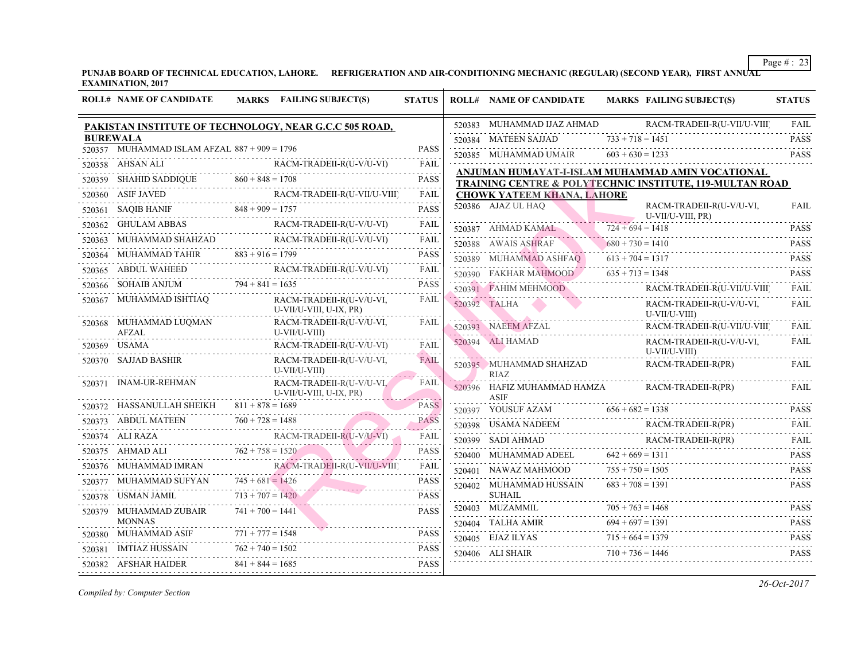PUNJAB BOARD OF TECHNICAL EDUCATION, LAHORE. REFRIGERATION AND AIR-CONDITIONING MECHANIC (REGULAR) (SECOND **Y EXAMINATION, 2017**

⊤

| <b>ROLL# NAME OF CANDIDATE</b>                 |                    | MARKS FAILING SUBJECT(S)                                                                                                                                                                                                                   | <b>STATUS</b>                                  | <b>ROLL# NAME OF CANDIDATE</b>                                           | <b>MARKS FAIL</b>    |
|------------------------------------------------|--------------------|--------------------------------------------------------------------------------------------------------------------------------------------------------------------------------------------------------------------------------------------|------------------------------------------------|--------------------------------------------------------------------------|----------------------|
|                                                |                    | PAKISTAN INSTITUTE OF TECHNOLOGY, NEAR G.C.C 505 ROAD,                                                                                                                                                                                     |                                                | 520383 MUHAMMAD IJAZ AHMAD                                               | <b>RACI</b>          |
| <b>BUREWALA</b>                                |                    |                                                                                                                                                                                                                                            |                                                | 520384 MATEEN SAJJAD $733 + 718 = 145$                                   |                      |
| 520357 MUHAMMAD ISLAM AFZAL $887 + 909 = 1796$ |                    |                                                                                                                                                                                                                                            | <b>PASS</b>                                    | 520385 MUHAMMAD UMAIR $603 + 630 = 123$                                  |                      |
| 520358 AHSAN ALI                               |                    | NALI RACM-TRADEII-R(U-V/U-VI) FAIL                                                                                                                                                                                                         |                                                | ANJUMAN HUMAYAT-I-ISLAM MUHAMMAI                                         |                      |
|                                                |                    | 520359 SHAHID SADDIQUE $860 + 848 = 1708$ PASS                                                                                                                                                                                             | <b>PASS</b>                                    | <b>TRAINING CENTRE &amp; POLYTECHNIC INSTI</b>                           |                      |
|                                                |                    | $\begin{tabular}{c c c} \hline $520360$ & ASIF JAVED & RACM-TRADEll-R(U-VII/U-VIII) & FAIL \\ \hline \end{tabular} \begin{tabular}{c c c c} \hline \multicolumn{3}{c c }{\bf{FACM-TRADEll-R(U-VII/U-VIII)} & FAIL \\ \hline \end{tabular}$ | FAIL                                           | <b>CHOWK YATEEM KHANA, LAHORE</b>                                        |                      |
|                                                |                    |                                                                                                                                                                                                                                            | <b>PASS</b>                                    | 520386 AJAZ UL HAQ                                                       | <b>RACI</b><br>U-VII |
|                                                |                    | 520362 GHULAM ABBAS RACM-TRADEII-R(U-V/U-VI)                                                                                                                                                                                               | FAIL                                           | 520387 AHMAD KAMAL 724 + 694 = 1411                                      |                      |
|                                                |                    | 520363 MUHAMMAD SHAHZAD RACM-TRADEII-R(U-V/U-VI) FAIL                                                                                                                                                                                      |                                                | 520388 AWAIS ASHRAF 680 + 730 = 141                                      |                      |
| 520364 MUHAMMAD TAHIR $883 + 916 = 1799$       |                    |                                                                                                                                                                                                                                            | <b>PASS</b>                                    | 520389 MUHAMMAD ASHFAQ $613 + 704 = 131$                                 |                      |
|                                                |                    | RACM-TRADEII-R(U-V/U-VI)<br>520365 ABDUL WAHEED RACM-TRADEII-R(U-V/U-VI) FAIL                                                                                                                                                              |                                                | 520390 FAKHAR MAHMOOD 635 + 713 = 134                                    |                      |
| 520366 SOHAIB ANJUM $794 + 841 = 1635$         |                    |                                                                                                                                                                                                                                            | <b>PASS</b>                                    | 520391 FAHIM MEHMOOD RA                                                  | <b>RACI</b>          |
| 520367 MUHAMMAD ISHTIAQ                        |                    | RACM-TRADEII-R(U-V/U-VI,<br>U-VII/U-VIII, U-IX, PR)                                                                                                                                                                                        | FAIL                                           | 520392 TALHA                                                             | <b>RACI</b><br>U-VI  |
| 520368 MUHAMMAD LUQMAN<br>AFZAL                |                    | RACM-TRADEII-R(U-V/U-VI,<br>U-VII/U-VIII)                                                                                                                                                                                                  | FAIL                                           | 520393 NAEEM AFZAL RA                                                    | <b>RACI</b>          |
| 520369 USAMA<br>\<br>                          |                    | RACM-TRADEII-R(U-V/U-VI)                                                                                                                                                                                                                   | FAIL                                           | 520394 ALI HAMAD                                                         | <b>RACI</b><br>U-VII |
| 520370 SAJJAD BASHIR                           |                    | RACM-TRADEII-R(U-V/U-VI,<br>U-VII/U-VIII)                                                                                                                                                                                                  | <b><i>Charles Committee</i></b><br><b>FAIL</b> | 520395 MUHAMMAD SHAHZAD<br>RIAZ.                                         | <b>RACI</b>          |
| 520371 INAM-UR-REHMAN                          |                    | RACM-TRADEII-R(U-V/U-VI,<br>U-VII/U-VIII, U-IX, PR)                                                                                                                                                                                        | <b>FAIL</b><br>. <u>.</u>                      | 520396 HAFIZ MUHAMMAD HAMZA<br>ASIF                                      | <b>RACI</b>          |
| 520372 HASSANULLAH SHEIKH $811 + 878 = 1689$   |                    | SANULLAH SHEIKH 811 + 878 = 1689 PASS                                                                                                                                                                                                      | <b>PASS</b>                                    | 520397 YOUSUF AZAM $656 + 682 = 133$                                     |                      |
| 520373 ABDUL MATEEN $760 + 728 = 1488$         |                    | PASS                                                                                                                                                                                                                                       |                                                | 520398 USAMA NADEEM RAC                                                  | <b>RACI</b>          |
| 520374 ALI RAZA                                |                    | 520374 ALI RAZA RACM-TRADEII-R(U-V/U-VI) FAIL                                                                                                                                                                                              |                                                | 520399 SADI AHMAD                                                        | <b>RACI</b>          |
|                                                |                    | 520375 AHMAD ALI $762 + 758 = 1520$                                                                                                                                                                                                        | <b>PASS</b><br>.                               | 520400 MUHAMMAD ADEEL $642 + 669 = 131$                                  |                      |
|                                                |                    | 520376 MUHAMMAD IMRAN RACM-TRADEII-R(U-VII/U-VIII)                                                                                                                                                                                         | FAIL                                           | 520401 NAWAZ MAHMOOD $755 + 750 = 150$                                   |                      |
| 520377 MUHAMMAD SUFYAN $745 + 681 = 1426$      |                    | 520377 MUHAMMAD SUFYAN $745 + 681 = 1426$ PASS                                                                                                                                                                                             |                                                | 520402 MUHAMMAD HUSSAIN                                                  | $683 + 708 = 139$    |
| 520378 USMAN JAMIL                             | $713 + 707 = 1420$ |                                                                                                                                                                                                                                            | <b>PASS</b>                                    | SUHAIL                                                                   |                      |
| 520379 MUHAMMAD ZUBAIR<br><b>MONNAS</b>        | $741 + 700 = 1441$ |                                                                                                                                                                                                                                            | <b>PASS</b>                                    | 520403 MUZAMMIL $705 + 763 = 146$<br>520404 TALHA AMIR $694 + 697 = 139$ |                      |
|                                                |                    | 520380 MUHAMMAD ASIF $771 + 777 = 1548$ PASS                                                                                                                                                                                               | <b>PASS</b>                                    | 520405 EJAZ ILYAS 715 + 664 = 137                                        |                      |
| 520381 IMTIAZ HUSSAIN $762 + 740 = 1502$       |                    | 502 PASS                                                                                                                                                                                                                                   | <b>PASS</b>                                    |                                                                          |                      |
| 520382 AFSHAR HAIDER                           | $841 + 844 = 1685$ |                                                                                                                                                                                                                                            | <b>PASS</b>                                    | 520406 ALI SHAIR $710 + 736 = 144$                                       |                      |
|                                                |                    |                                                                                                                                                                                                                                            |                                                |                                                                          |                      |